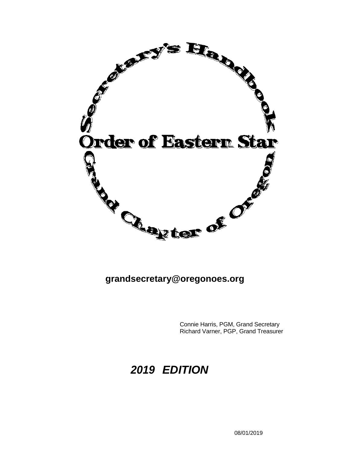

## **[grandsecretary@oregonoes.org](mailto:grandsecretary@oregonoes.org)**

Connie Harris, PGM, Grand Secretary Richard Varner, PGP, Grand Treasurer

# *2019 EDITION*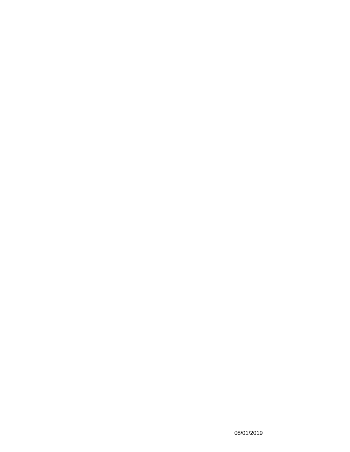08/01/2019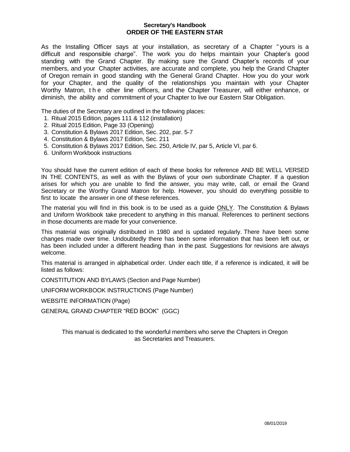## **Secretary's Handbook ORDER OF THE EASTERN STAR**

As the Installing Officer says at your installation, as secretary of a Chapter " yours is a difficult and responsible charge". The work you do helps maintain your Chapter's good standing with the Grand Chapter. By making sure the Grand Chapter's records of your members, and your Chapter activities, are accurate and complete, you help the Grand Chapter of Oregon remain in good standing with the General Grand Chapter. How you do your work for your Chapter, and the quality of the relationships you maintain with your Chapter Worthy Matron, t h e other line officers, and the Chapter Treasurer, will either enhance, or diminish, the ability and commitment of your Chapter to live our Eastern Star Obligation.

The duties of the Secretary are outlined in the following places:

- 1. Ritual 2015 Edition, pages 111 & 112 (installation)
- 2. Ritual 2015 Edition, Page 33 (Opening)
- 3. Constitution & Bylaws 2017 Edition, Sec. 202, par. 5-7
- 4. Constitution & Bylaws 2017 Edition, Sec. 211
- 5. Constitution & Bylaws 2017 Edition, Sec. 250, Article IV, par 5, Article VI, par 6.
- 6. Uniform Workbook instructions

You should have the current edition of each of these books for reference AND BE WELL VERSED IN THE CONTENTS, as well as with the Bylaws of your own subordinate Chapter. If a question arises for which you are unable to find the answer, you may write, call, or email the Grand Secretary or the Worthy Grand Matron for help. However, you should do everything possible to first to locate the answer in one of these references.

The material you will find in this book is to be used as a guide ONLY. The Constitution & Bylaws and Uniform Workbook take precedent to anything in this manual. References to pertinent sections in those documents are made for your convenience.

This material was originally distributed in 1980 and is updated regularly. There have been some changes made over time. Undoubtedly there has been some information that has been left out, or has been included under a different heading than in the past. Suggestions for revisions are always welcome.

This material is arranged in alphabetical order. Under each title, if a reference is indicated, it will be listed as follows:

CONSTITUTION AND BYLAWS (Section and Page Number)

UNIFORM WORKBOOK INSTRUCTIONS (Page Number)

WEBSITE INFORMATION (Page)

GENERAL GRAND CHAPTER "RED BOOK" (GGC)

This manual is dedicated to the wonderful members who serve the Chapters in Oregon as Secretaries and Treasurers.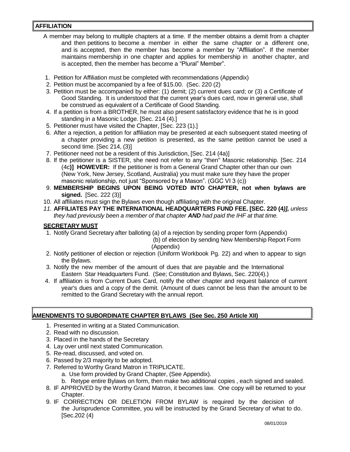## **AFFILIATION**

- A member may belong to multiple chapters at a time. If the member obtains a demit from a chapter and then petitions to become a member in either the same chapter or a different one, and is accepted, then the member has become a member by "Affiliation". If the member maintains membership in one chapter and applies for membership in another chapter, and is accepted, then the member has become a "Plural" Member".
- 1. Petition for Affiliation must be completed with recommendations (Appendix)
- 2. Petition must be accompanied by a fee of \$15.00. (Sec. 220 (2)
- 3. Petition must be accompanied by either: (1) demit; (2) current dues card; or (3) a Certificate of Good Standing. It is understood that the current year's dues card, now in general use, shall be construed as equivalent of a Certificate of Good Standing.
- 4. If a petition is from a BROTHER, he must also present satisfactory evidence that he is in good standing in a Masonic Lodge. [Sec. 214 (4).]
- 5. Petitioner must have visited the Chapter, [Sec. 223 (1).]
- 6. After a rejection, a petition for affiliation may be presented at each subsequent stated meeting of a chapter providing a new petition is presented, as the same petition cannot be used a second time. [Sec 214, (3)]
- 7. Petitioner need not be a resident of this Jurisdiction, [Sec. 214 (4a)]
- 8. If the petitioner is a SISTER, she need not refer to any "then" Masonic relationship. [Sec. 214 (4c**)] HOWEVER:** If the petitioner is from a General Grand Chapter other than our own (New York, New Jersey, Scotland, Australia) you must make sure they have the proper masonic relationship, not just "Sponsored by a Mason". (GGC VI 3 (c))
- 9. **MEMBERSHIP BEGINS UPON BEING VOTED INTO CHAPTER, not when bylaws are signed.** [Sec. 222 (3)]
- 10. All affiliates must sign the Bylaws even though affiliating with the original Chapter.
- *11.* **AFFILIATES PAY THE INTERNATIONAL HEADQUARTERS FUND FEE. [SEC. 220 (4***)], unless they had previously been a member of that chapter AND had paid the IHF at that time.*

## **SECRETARY MUST**

1. Notify Grand Secretary after balloting (a) of a rejection by sending proper form (Appendix)

(b) of election by sending New Membership Report Form (Appendix)

- 2. Notify petitioner of election or rejection (Uniform Workbook Pg. 22) and when to appear to sign the Bylaws.
- 3. Notify the new member of the amount of dues that are payable and the International Eastern Star Headquarters Fund. (See; Constitution and Bylaws, Sec. 220(4).)
- 4. If affiliation is from Current Dues Card, notify the other chapter and request balance of current year's dues and a copy of the demit. (Amount of dues cannot be less than the amount to be remitted to the Grand Secretary with the annual report.

## **AMENDMENTS TO SUBORDINATE CHAPTER BYLAWS (See Sec. 250 Article XII)**

- 1. Presented in writing at a Stated Communication.
- 2. Read with no discussion.
- 3. Placed in the hands of the Secretary
- 4. Lay over until next stated Communication.
- 5. Re-read, discussed, and voted on.
- 6. Passed by 2/3 majority to be adopted.
- 7. Referred to Worthy Grand Matron in TRIPLICATE.
	- a. Use form provided by Grand Chapter, (See Appendix).
		- b. Retype entire Bylaws on form, then make two additional copies , each signed and sealed.
- 8. IF APPROVED by the Worthy Grand Matron, it becomes law. One copy will be returned to your Chapter.
- 9. IF CORRECTION OR DELETION FROM BYLAW is required by the decision of the Jurisprudence Committee, you will be instructed by the Grand Secretary of what to do. [Sec.202 (4)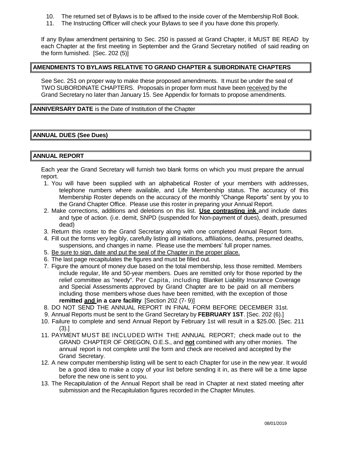- 10. The returned set of Bylaws is to be affixed to the inside cover of the Membership Roll Book.
- 11. The Instructing Officer will check your Bylaws to see if you have done this properly.

If any Bylaw amendment pertaining to Sec. 250 is passed at Grand Chapter, it MUST BE READ by each Chapter at the first meeting in September and the Grand Secretary notified of said reading on the form furnished. [Sec. 202 (5)]

## **AMENDMENTS TO BYLAWS RELATIVE TO GRAND CHAPTER & SUBORDINATE CHAPTERS**

See Sec. 251 on proper way to make these proposed amendments. It must be under the seal of TWO SUBORDINATE CHAPTERS. Proposals in proper form must have been received by the Grand Secretary no later than January 15. See Appendix for formats to propose amendments.

**ANNIVERSARY DATE** is the Date of Institution of the Chapter

## **ANNUAL DUES (See Dues)**

## **ANNUAL REPORT**

Each year the Grand Secretary will furnish two blank forms on which you must prepare the annual report.

- 1. You will have been supplied with an alphabetical Roster of your members with addresses, telephone numbers where available, and Life Membership status. The accuracy of this Membership Roster depends on the accuracy of the monthly "Change Reports" sent by you to the Grand Chapter Office. Please use this roster in preparing your Annual Report.
- 2. Make corrections, additions and deletions on this list. **Use contrasting ink** and include dates and type of action. (i.e. demit, SNPD (suspended for Non-payment of dues), death, presumed dead)
- 3. Return this roster to the Grand Secretary along with one completed Annual Report form.
- 4. Fill out the forms very legibly, carefully listing all initiations, affiliations, deaths, presumed deaths, suspensions, and changes in name. Please use the members' full proper names.
- 5. Be sure to sign, date and put the seal of the Chapter in the proper place.
- 6. The last page recapitulates the figures and must be filled out.
- 7. Figure the amount of money due based on the total membership, less those remitted. Members include regular, life and 50-year members. Dues are remitted only for those reported by the relief committee as "needy". Per Capita, including Blanket Liability Insurance Coverage and Special Assessments approved by Grand Chapter are to be paid on all members including those members whose dues have been remitted, with the exception of those **remitted and in a care facility**. [Section 202 (7- 9)]
- 8. DO NOT SEND THE ANNUAL REPORT IN FINAL FORM BEFORE DECEMBER 31st.
- 9. Annual Reports must be sent to the Grand Secretary by **FEBRUARY 1ST**. [Sec. 202 (6).]
- 10. Failure to complete and send Annual Report by February 1st will result in a \$25.00. [Sec. 211 (3).]
- 11. PAYMENT MUST BE INCLUDED WITH THE ANNUAL REPORT; check made out to the GRAND CHAPTER OF OREGON, O.E.S., and **not** combined with any other monies. The annual report is not complete until the form and check are received and accepted by the Grand Secretary.
- 12. A new computer membership listing will be sent to each Chapter for use in the new year. It would be a good idea to make a copy of your list before sending it in, as there will be a time lapse before the new one is sent to you.
- 13. The Recapitulation of the Annual Report shall be read in Chapter at next stated meeting after submission and the Recapitulation figures recorded in the Chapter Minutes.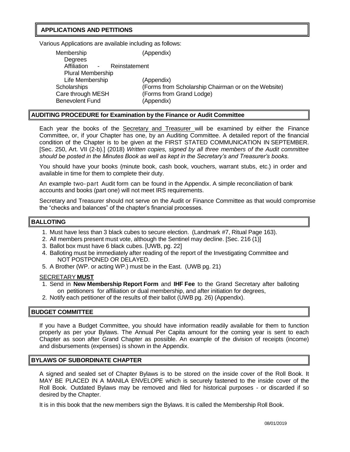## **APPLICATIONS AND PETITIONS**

Various Applications are available including as follows:

| (Forms from Scholarship Chairman or on the Website) |
|-----------------------------------------------------|
|                                                     |
|                                                     |
|                                                     |

## **AUDITING PROCEDURE for Examination by the Finance or Audit Committee**

Each year the books of the Secretary and Treasurer will be examined by either the Finance Committee, or, if your Chapter has one, by an Auditing Committee. A detailed report of the financial condition of the Chapter is to be given at the FIRST STATED COMMUNICATION IN SEPTEMBER. [Sec. 250, Art. VII (2-b).] (2018) *Written copies, signed by all three members of the Audit committee should be posted in the Minutes Book as well as kept in the Secretary's and Treasurer's books.*

You should have your books (minute book, cash book, vouchers, warrant stubs, etc.) in order and available in time for them to complete their duty.

An example two-part Audit form can be found in the Appendix. A simple reconciliation of bank accounts and books (part one) will not meet IRS requirements.

Secretary and Treasurer should not serve on the Audit or Finance Committee as that would compromise the "checks and balances" of the chapter's financial processes.

## **BALLOTING**

- 1. Must have less than 3 black cubes to secure election. (Landmark #7, Ritual Page 163).
- 2. All members present must vote, although the Sentinel may decline. [Sec. 216 (1)]
- 3. Ballot box must have 6 black cubes. [UWB, pg. 22]
- 4. Balloting must be immediately after reading of the report of the Investigating Committee and NOT POSTPONED OR DELAYED.
- 5. A Brother (WP. or acting WP.) must be in the East. (UWB pg. 21)

#### SECRETARY **MUST**

- 1. Send in **New Membership Report Form** and **IHF Fee** to the Grand Secretary after balloting on petitioners for affiliation or dual membership, and after initiation for degrees,
- 2. Notify each petitioner of the results of their ballot (UWB pg. 26) (Appendix).

#### **BUDGET COMMITTEE**

If you have a Budget Committee, you should have information readily available for them to function properly as per your Bylaws. The Annual Per Capita amount for the coming year is sent to each Chapter as soon after Grand Chapter as possible. An example of the division of receipts (income) and disbursements (expenses) is shown in the Appendix.

## **BYLAWS OF SUBORDINATE CHAPTER**

A signed and sealed set of Chapter Bylaws is to be stored on the inside cover of the Roll Book. It MAY BE PLACED IN A MANILA ENVELOPE which is securely fastened to the inside cover of the Roll Book. Outdated Bylaws may be removed and filed for historical purposes - or discarded if so desired by the Chapter.

It is in this book that the new members sign the Bylaws. It is called the Membership Roll Book.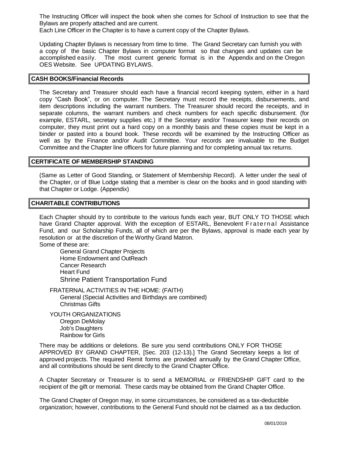The Instructing Officer will inspect the book when she comes for School of Instruction to see that the Bylaws are properly attached and are current.

Each Line Officer in the Chapter is to have a current copy of the Chapter Bylaws.

Updating Chapter Bylaws is necessary from time to time. The Grand Secretary can furnish you with a copy of the basic Chapter Bylaws in computer format so that changes and updates can be accomplished easily. The most current generic format is in the Appendix and on the Oregon OES Website. See UPDATING BYLAWS.

#### **CASH BOOKS/Financial Records**

The Secretary and Treasurer should each have a financial record keeping system, either in a hard copy "Cash Book", or on computer. The Secretary must record the receipts, disbursements, and item descriptions including the warrant numbers. The Treasurer should record the receipts, and in separate columns, the warrant numbers and check numbers for each specific disbursement. (for example, ESTARL, secretary supplies etc.) If the Secretary and/or Treasurer keep their records on computer, they must print out a hard copy on a monthly basis and these copies must be kept in a binder or pasted into a bound book. These records will be examined by the Instructing Officer as well as by the Finance and/or Audit Committee. Your records are invaluable to the Budget Committee and the Chapter line officers for future planning and for completing annual tax returns.

#### **CERTIFICATE OF MEMBERSHIP STANDING**

(Same as Letter of Good Standing, or Statement of Membership Record). A letter under the seal of the Chapter, or of Blue Lodge stating that a member is clear on the books and in good standing with that Chapter or Lodge. (Appendix)

#### **CHARITABLE CONTRIBUTIONS**

Each Chapter should try to contribute to the various funds each year, BUT ONLY TO THOSE which have Grand Chapter approval. With the exception of ESTARL, Benevolent Fraternal Assistance Fund, and our Scholarship Funds, all of which are per the Bylaws, approval is made each year by resolution or at the discretion of the Worthy Grand Matron. Some of these are:

General Grand Chapter Projects Home Endowment and OutReach Cancer Research Heart Fund Shrine Patient Transportation Fund

FRATERNAL ACTIVITIES IN THE HOME: (FAITH) General (Special Activities and Birthdays are combined) Christmas Gifts

YOUTH ORGANIZATIONS Oregon DeMolay Job's Daughters

Rainbow for Girls

There may be additions or deletions. Be sure you send contributions ONLY FOR THOSE APPROVED BY GRAND CHAPTER, [Sec. 203 (12-13).] The Grand Secretary keeps a list of approved projects. The required Remit forms are provided annually by the Grand Chapter Office, and all contributions should be sent directly to the Grand Chapter Office.

A Chapter Secretary or Treasurer is to send a MEMORIAL or FRIENDSHIP GIFT card to the recipient of the gift or memorial. These cards may be obtained from the Grand Chapter Office.

The Grand Chapter of Oregon may, in some circumstances, be considered as a tax-deductible organization; however, contributions to the General Fund should not be claimed as a tax deduction.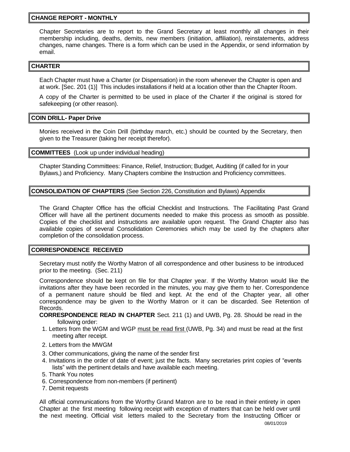#### **CHANGE REPORT - MONTHLY**

Chapter Secretaries are to report to the Grand Secretary at least monthly all changes in their membership including, deaths, demits, new members (initiation, affiliation), reinstatements, address changes, name changes. There is a form which can be used in the Appendix, or send information by email.

## **CHARTER**

Each Chapter must have a Charter (or Dispensation) in the room whenever the Chapter is open and at work. [Sec. 201 (1)] This includes installations if held at a location other than the Chapter Room.

A copy of the Charter is permitted to be used in place of the Charter if the original is stored for safekeeping (or other reason).

#### **COIN DRILL- Paper Drive**

Monies received in the Coin Drill (birthday march, etc.) should be counted by the Secretary, then given to the Treasurer (taking her receipt therefor).

#### **COMMITTEES** (Look up under individual heading)

Chapter Standing Committees: Finance, Relief, Instruction; Budget, Auditing (if called for in your Bylaws,) and Proficiency. Many Chapters combine the Instruction and Proficiency committees.

#### **CONSOLIDATION OF CHAPTERS** (See Section 226, Constitution and Bylaws) Appendix

The Grand Chapter Office has the official Checklist and Instructions. The Facilitating Past Grand Officer will have all the pertinent documents needed to make this process as smooth as possible. Copies of the checklist and instructions are available upon request. The Grand Chapter also has available copies of several Consolidation Ceremonies which may be used by the chapters after completion of the consolidation process.

## **CORRESPONDENCE RECEIVED**

Secretary must notify the Worthy Matron of all correspondence and other business to be introduced prior to the meeting. (Sec. 211)

Correspondence should be kept on file for that Chapter year. If the Worthy Matron would like the invitations after they have been recorded in the minutes, you may give them to her. Correspondence of a permanent nature should be filed and kept. At the end of the Chapter year, all other correspondence may be given to the Worthy Matron or it can be discarded. See Retention of Records.

- **CORRESPONDENCE READ IN CHAPTER** Sect. 211 (1) and UWB, Pg. 28. Should be read in the following order:
- 1. Letters from the WGM and WGP must be read first (UWB, Pg. 34) and must be read at the first meeting after receipt.
- 2. Letters from the MWGM
- 3. Other communications, giving the name of the sender first
- 4. Invitations in the order of date of event; just the facts. Many secretaries print copies of "events lists" with the pertinent details and have available each meeting.
- 5. Thank You notes
- 6. Correspondence from non-members (if pertinent)
- 7. Demit requests

All official communications from the Worthy Grand Matron are to be read in their entirety in open Chapter at the first meeting following receipt with exception of matters that can be held over until the next meeting. Official visit letters mailed to the Secretary from the Instructing Officer or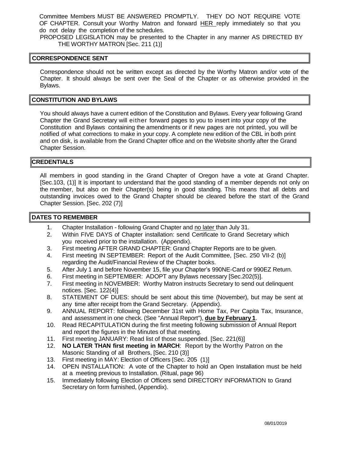Committee Members MUST BE ANSWERED PROMPTLY. THEY DO NOT REQUIRE VOTE OF CHAPTER. Consult your Worthy Matron and forward HER reply immediately so that you do not delay the completion of the schedules.

PROPOSED LEGISLATION may be presented to the Chapter in any manner AS DIRECTED BY THE WORTHY MATRON [Sec. 211 (1)]

#### **CORRESPONDENCE SENT**

Correspondence should not be written except as directed by the Worthy Matron and/or vote of the Chapter. It should always be sent over the Seal of the Chapter or as otherwise provided in the Bylaws.

#### **CONSTITUTION AND BYLAWS**

You should always have a current edition of the Constitution and Bylaws. Every year following Grand Chapter the Grand Secretary will either forward pages to you to insert into your copy of the Constitution and Bylaws containing the amendments or if new pages are not printed, you will be notified of what corrections to make in your copy. A complete new edition of the CBL in both print and on disk, is available from the Grand Chapter office and on the Website shortly after the Grand Chapter Session.

#### **CREDENTIALS**

All members in good standing in the Grand Chapter of Oregon have a vote at Grand Chapter. [Sec.103, (1)] It is important to understand that the good standing of a member depends not only on the member, but also on their Chapter(s) being in good standing. This means that all debts and outstanding invoices owed to the Grand Chapter should be cleared before the start of the Grand Chapter Session. [Sec. 202 (7)]

#### **DATES TO REMEMBER**

- 1. Chapter Installation following Grand Chapter and no later than July 31.
- 2. Within FIVE DAYS of Chapter installation: send Certificate to Grand Secretary which you received prior to the installation. (Appendix).
- 3. First meeting AFTER GRAND CHAPTER: Grand Chapter Reports are to be given.
- 4. First meeting IN SEPTEMBER: Report of the Audit Committee, [Sec. 250 VII-2 (b)] regarding the Audit/Financial Review of the Chapter books.
- 5. After July 1 and before November 15, file your Chapter's 990NE-Card or 990EZ Return.
- 6. First meeting in SEPTEMBER: ADOPT any Bylaws necessary [Sec.202(5)].
- 7. First meeting in NOVEMBER: Worthy Matron instructs Secretary to send out delinquent notices. [Sec. 122(4)]
- 8. STATEMENT OF DUES: should be sent about this time (November), but may be sent at any time after receipt from the Grand Secretary. (Appendix).
- 9. ANNUAL REPORT: following December 31st with Home Tax, Per Capita Tax, Insurance, and assessment in one check. (See "Annual Report"), **due by February 1**.
- 10. Read RECAPITULATION during the first meeting following submission of Annual Report and report the figures in the Minutes of that meeting.
- 11. First meeting JANUARY: Read list of those suspended. [Sec. 221(6)]
- 12. **NO LATER THAN first meeting in MARCH**: Report by the Worthy Patron on the Masonic Standing of all Brothers, [Sec. 210 (3)]
- 13. First meeting in MAY: Election of Officers [Sec. 205 (1)]
- 14. OPEN INSTALLATION: A vote of the Chapter to hold an Open Installation must be held at a meeting previous to Installation. (Ritual, page 96)
- 15. Immediately following Election of Officers send DIRECTORY INFORMATION to Grand Secretary on form furnished, (Appendix).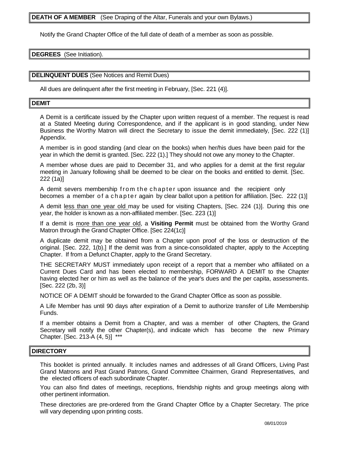## **DEATH OF A MEMBER** (See Draping of the Altar, Funerals and your own Bylaws.)

Notify the Grand Chapter Office of the full date of death of a member as soon as possible.

**DEGREES** (See Initiation).

#### **DELINQUENT DUES** (See Notices and Remit Dues)

All dues are delinquent after the first meeting in February, [Sec. 221 (4)].

#### **DEMIT**

A Demit is a certificate issued by the Chapter upon written request of a member. The request is read at a Stated Meeting during Correspondence, and if the applicant is in good standing, under New Business the Worthy Matron will direct the Secretary to issue the demit immediately, [Sec. 222 (1)] Appendix.

A member is in good standing (and clear on the books) when her/his dues have been paid for the year in which the demit is granted. [Sec. 222 (1).] They should not owe any money to the Chapter.

A member whose dues are paid to December 31, and who applies for a demit at the first regular meeting in January following shall be deemed to be clear on the books and entitled to demit. [Sec. 222 (1a)]

A demit severs membership from the chapter upon issuance and the recipient only becomes a member of a chapter again by clear ballot upon a petition for affiliation. [Sec. 222 (1)]

A demit less than one year old may be used for visiting Chapters, [Sec. 224 (1)]. During this one year, the holder is known as a non-affiliated member. [Sec. 223 (1)]

If a demit is more than one year old, a **Visiting Permit** must be obtained from the Worthy Grand Matron through the Grand Chapter Office. [Sec 224(1c)]

A duplicate demit may be obtained from a Chapter upon proof of the loss or destruction of the original. [Sec. 222, 1(b).] If the demit was from a since-consolidated chapter, apply to the Accepting Chapter. If from a Defunct Chapter, apply to the Grand Secretary.

THE SECRETARY MUST immediately upon receipt of a report that a member who affiliated on a Current Dues Card and has been elected to membership, FORWARD A DEMIT to the Chapter having elected her or him as well as the balance of the year's dues and the per capita, assessments. [Sec. 222 (2b, 3)]

NOTICE OF A DEMIT should be forwarded to the Grand Chapter Office as soon as possible.

A Life Member has until 90 days after expiration of a Demit to authorize transfer of Life Membership Funds.

If a member obtains a Demit from a Chapter, and was a member of other Chapters, the Grand Secretary will notify the other Chapter(s), and indicate which has become the new Primary Chapter. [Sec. 213-A (4, 5)] \*\*\*

#### **DIRECTORY**

This booklet is printed annually. It includes names and addresses of all Grand Officers, Living Past Grand Matrons and Past Grand Patrons, Grand Committee Chairmen, Grand Representatives, and the elected officers of each subordinate Chapter.

You can also find dates of meetings, receptions, friendship nights and group meetings along with other pertinent information.

These directories are pre-ordered from the Grand Chapter Office by a Chapter Secretary. The price will vary depending upon printing costs.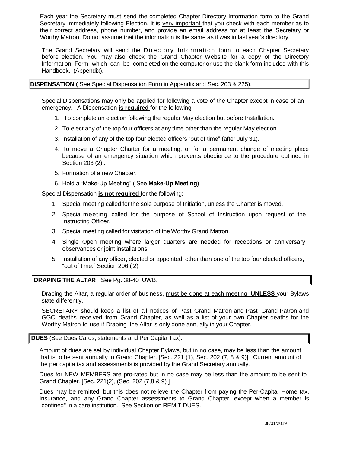Each year the Secretary must send the completed Chapter Directory Information form to the Grand Secretary immediately following Election. It is very important that you check with each member as to their correct address, phone number, and provide an email address for at least the Secretary or Worthy Matron. Do not assume that the information is the same as it was in last year's directory.

The Grand Secretary will send the Directory Information form to each Chapter Secretary before election. You may also check the Grand Chapter Website for a copy of the Directory Information Form which can be completed on the computer or use the blank form included with this Handbook. (Appendix).

**DISPENSATION (** See Special Dispensation Form in Appendix and Sec. 203 & 225).

Special Dispensations may only be applied for following a vote of the Chapter except in case of an emergency. A Dispensation **is required** for the following:

- 1. To complete an election following the regular May election but before Installation.
- 2. To elect any of the top four officers at any time other than the regular May election
- 3. Installation of any of the top four elected officers "out of time" (after July 31).
- 4. To move a Chapter Charter for a meeting, or for a permanent change of meeting place because of an emergency situation which prevents obedience to the procedure outlined in Section 203 (2) .
- 5. Formation of a new Chapter.
- 6. Hold a "Make-Up Meeting" ( See **Make-Up Meeting**)

Special Dispensation **is not required** for the following:

- 1. Special meeting called for the sole purpose of Initiation, unless the Charter is moved.
- 2. Special meeting called for the purpose of School of Instruction upon request of the Instructing Officer.
- 3. Special meeting called for visitation of the Worthy Grand Matron.
- 4. Single Open meeting where larger quarters are needed for receptions or anniversary observances or joint installations.
- 5. Installation of any officer, elected or appointed, other than one of the top four elected officers, "out of time." Section 206 ( 2)

**DRAPING THE ALTAR** See Pg. 38-40 UWB.

Draping the Altar, a regular order of business, must be done at each meeting, **UNLESS** your Bylaws state differently.

SECRETARY should keep a list of all notices of Past Grand Matron and Past Grand Patron and GGC deaths received from Grand Chapter, as well as a list of your own Chapter deaths for the Worthy Matron to use if Draping the Altar is only done annually in your Chapter.

#### **DUES** (See Dues Cards, statements and Per Capita Tax).

Amount of dues are set by individual Chapter Bylaws, but in no case, may be less than the amount that is to be sent annually to Grand Chapter. [Sec. 221 (1), Sec. 202 (7, 8 & 9)]. Current amount of the per capita tax and assessments is provided by the Grand Secretary annually.

Dues for NEW MEMBERS are pro-rated but in no case may be less than the amount to be sent to Grand Chapter. [Sec. 221(2), (Sec. 202 (7,8 & 9) ]

Dues may be remitted, but this does not relieve the Chapter from paying the Per-Capita, Home tax, Insurance, and any Grand Chapter assessments to Grand Chapter, except when a member is "confined" in a care institution. See Section on REMIT DUES.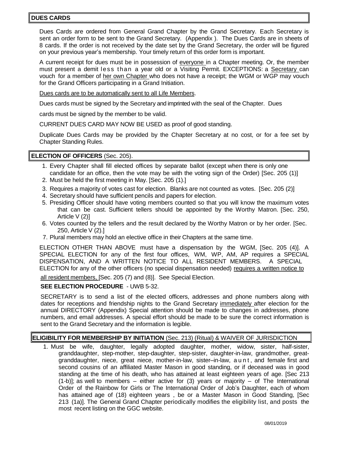## **DUES CARDS**

Dues Cards are ordered from General Grand Chapter by the Grand Secretary. Each Secretary is sent an order form to be sent to the Grand Secretary. (Appendix ). The Dues Cards are in sheets of 8 cards. If the order is not received by the date set by the Grand Secretary, the order will be figured on your previous year's membership. Your timely return of this order form is important.

A current receipt for dues must be in possession of everyone in a Chapter meeting. Or, the member must present a demit less than a year old or a Visiting Permit. EXCEPTIONS: a Secretary can vouch for a member of her own Chapter who does not have a receipt; the WGM or WGP may vouch for the Grand Officers participating in a Grand Initiation.

Dues cards are to be automatically sent to all Life Members.

Dues cards must be signed by the Secretary and imprinted with the seal of the Chapter. Dues

cards must be signed by the member to be valid.

CURRENT DUES CARD MAY NOW BE USED as proof of good standing.

Duplicate Dues Cards may be provided by the Chapter Secretary at no cost, or for a fee set by Chapter Standing Rules.

#### **ELECTION OF OFFICERS** (Sec. 205).

- 1. Every Chapter shall fill elected offices by separate ballot (except when there is only one candidate for an office, then the vote may be with the voting sign of the Order) [Sec. 205 (1)]
- 2. Must be held the first meeting in May. [Sec. 205 (1).]
- 3. Requires a majority of votes cast for election. Blanks are not counted as votes. [Sec. 205 (2)]
- 4. Secretary should have sufficient pencils and papers for election.
- 5. Presiding Officer should have voting members counted so that you will know the maximum votes that can be cast. Sufficient tellers should be appointed by the Worthy Matron. [Sec. 250, Article V (2)]
- 6. Votes counted by the tellers and the result declared by the Worthy Matron or by her order. [Sec. 250, Article V (2).]
- 7. Plural members may hold an elective office in their Chapters at the same time.

ELECTION OTHER THAN ABOVE must have a dispensation by the WGM, [Sec. 205 (4)]. A SPECIAL ELECTION for any of the first four offices, WM, WP, AM, AP requires a SPECIAL DISPENSATION, AND A WRITTEN NOTICE TO ALL RESIDENT MEMBERS. A SPECIAL ELECTION for any of the other officers (no special dispensation needed) requires a written notice to

all resident members, [Sec. 205 (7) and (8)]. See Special Election.

#### **SEE ELECTION PROCEDURE** - UWB 5-32.

SECRETARY is to send a list of the elected officers, addresses and phone numbers along with dates for receptions and friendship nights to the Grand Secretary immediately after election for the annual DIRECTORY (Appendix) Special attention should be made to changes in addresses, phone numbers, and email addresses. A special effort should be made to be sure the correct information is sent to the Grand Secretary and the information is legible.

#### **ELIGIBILITY FOR MEMBERSHIP BY INITIATION** (Sec. 213) (Ritual) & WAIVER OF JURISDICTION

1. Must be wife, daughter, legally adopted daughter, mother, widow, sister, half-sister, granddaughter, step-mother, step-daughter, step-sister, daughter-in-law, grandmother, greatgranddaughter, niece, great niece, mother-in-law, sister–in-law, a u n t , and female first and second cousins of an affiliated Master Mason in good standing, or if deceased was in good standing at the time of his death, who has attained at least eighteen years of age. [Sec 213  $(1-b)$ ; as well to members – either active for  $(3)$  years or majority – of The International Order of the Rainbow for Girls or The International Order of Job's Daughter, each of whom has attained age of (18) eighteen years , be or a Master Mason in Good Standing, [Sec 213 (1a)]. The General Grand Chapter periodically modifies the eligibility list, and posts the most recent listing on the GGC website.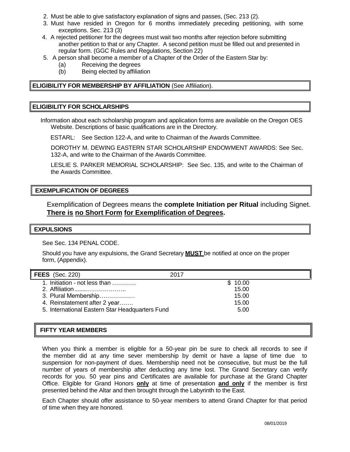- 2. Must be able to give satisfactory explanation of signs and passes, (Sec. 213 (2).
- 3. Must have resided in Oregon for 6 months immediately preceding petitioning, with some exceptions. Sec. 213 (3)
- 4. A rejected petitioner for the degrees must wait two months after rejection before submitting another petition to that or any Chapter. A second petition must be filled out and presented in regular form. (GGC Rules and Regulations, Section 22)
- 5. A person shall become a member of a Chapter of the Order of the Eastern Star by:
	- (a) Receiving the degrees
	- (b) Being elected by affiliation

#### **ELIGIBILITY FOR MEMBERSHIP BY AFFILIATION** (See Affiliation).

## **ELIGIBILITY FOR SCHOLARSHIPS**

Information about each scholarship program and application forms are available on the Oregon OES Website. Descriptions of basic qualifications are in the Directory.

ESTARL: See Section 122-A, and write to Chairman of the Awards Committee.

DOROTHY M. DEWING EASTERN STAR SCHOLARSHIP ENDOWMENT AWARDS: See Sec. 132-A, and write to the Chairman of the Awards Committee.

LESLIE S. PARKER MEMORIAL SCHOLARSHIP: See Sec. 135, and write to the Chairman of the Awards Committee.

#### **EXEMPLIFICATION OF DEGREES**

Exemplification of Degrees means the **complete Initiation per Ritual** including Signet. **There is no Short Form for Exemplification of Degrees.**

#### **EXPULSIONS**

See Sec. 134 PENAL CODE.

Should you have any expulsions, the Grand Secretary **MUST** be notified at once on the proper form, (Appendix).

| <b>FEES</b> (Sec. 220)                          | 2017    |
|-------------------------------------------------|---------|
| 1. Initiation - not less than                   | \$10.00 |
|                                                 | 15.00   |
| 3. Plural Membership                            | 15.00   |
| 4. Reinstatement after 2 year                   | 15.00   |
| 5. International Eastern Star Headquarters Fund | 5.00    |
|                                                 |         |

## **FIFTY YEAR MEMBERS**

When you think a member is eligible for a 50-year pin be sure to check all records to see if the member did at any time sever membership by demit or have a lapse of time due to suspension for non-payment of dues. Membership need not be consecutive, but must be the full number of years of membership after deducting any time lost. The Grand Secretary can verify records for you. 50 year pins and Certificates are available for purchase at the Grand Chapter Office. Eligible for Grand Honors **only** at time of presentation **and only** if the member is first presented behind the Altar and then brought through the Labyrinth to the East.

Each Chapter should offer assistance to 50-year members to attend Grand Chapter for that period of time when they are honored.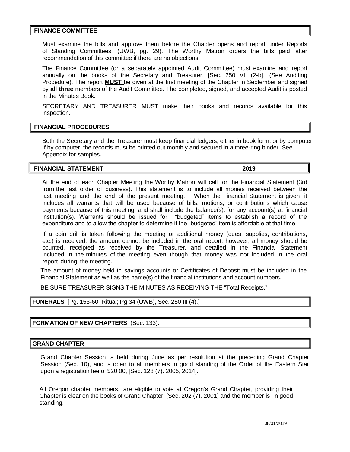#### **FINANCE COMMITTEE**

Must examine the bills and approve them before the Chapter opens and report under Reports of Standing Committees, (UWB, pg. 29). The Worthy Matron orders the bills paid after recommendation of this committee if there are no objections.

The Finance Committee (or a separately appointed Audit Committee) must examine and report annually on the books of the Secretary and Treasurer, [Sec. 250 VII (2-b]. (See Auditing Procedure). The report **MUST** be given at the first meeting of the Chapter in September and signed by **all three** members of the Audit Committee. The completed, signed, and accepted Audit is posted in the Minutes Book.

SECRETARY AND TREASURER MUST make their books and records available for this inspection.

#### **FINANCIAL PROCEDURES**

Both the Secretary and the Treasurer must keep financial ledgers, either in book form, or by computer. If by computer, the records must be printed out monthly and secured in a three-ring binder. See Appendix for samples.

#### **FINANCIAL STATEMENT 2019**

At the end of each Chapter Meeting the Worthy Matron will call for the Financial Statement (3rd from the last order of business). This statement is to include all monies received between the last meeting and the end of the present meeting. When the Financial Statement is given it includes all warrants that will be used because of bills, motions, or contributions which cause payments because of this meeting, and shall include the balance(s), for any account(s) at financial institution(s). Warrants should be issued for "budgeted" items to establish a record of the expenditure and to allow the chapter to determine if the "budgeted" item is affordable at that time.

If a coin drill is taken following the meeting or additional money (dues, supplies, contributions, etc.) is received, the amount cannot be included in the oral report, however, all money should be counted, receipted as received by the Treasurer, and detailed in the Financial Statement included in the minutes of the meeting even though that money was not included in the oral report during the meeting.

The amount of money held in savings accounts or Certificates of Deposit must be included in the Financial Statement as well as the name(s) of the financial institutions and account numbers.

BE SURE TREASURER SIGNS THE MINUTES AS RECEIVING THE "Total Receipts."

## **FUNERALS** [Pg. 153-60 Ritual; Pg 34 (UWB), Sec. 250 III (4).]

**FORMATION OF NEW CHAPTERS** (Sec. 133).

#### **GRAND CHAPTER**

Grand Chapter Session is held during June as per resolution at the preceding Grand Chapter Session (Sec. 10), and is open to all members in good standing of the Order of the Eastern Star upon a registration fee of \$20.00, [Sec. 128 (7). 2005, 2014].

All Oregon chapter members, are eligible to vote at Oregon's Grand Chapter, providing their Chapter is clear on the books of Grand Chapter, [Sec. 202 (7). 2001] and the member is in good standing.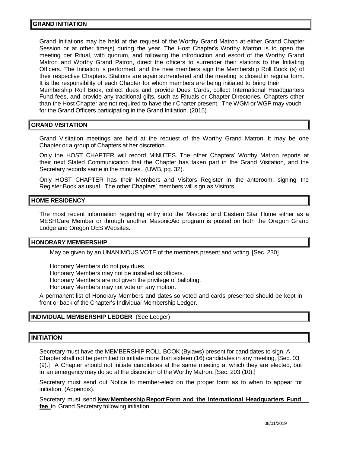Grand Initiations may be held at the request of the Worthy Grand Matron at either Grand Chapter Session or at other time(s) during the year. The Host Chapter's Worthy Matron is to open the meeting per Ritual, with quorum, and following the introduction and escort of the Worthy Grand Matron and Worthy Grand Patron, direct the officers to surrender their stations to the Initiating Officers. The Initiation is performed, and the new members sign the Membership Roll Book (s) of their respective Chapters. Stations are again surrendered and the meeting is closed in regular form. It is the responsibility of each Chapter for whom members are being initiated to bring their Membership Roll Book, collect dues and provide Dues Cards, collect International Headquarters Fund fees, and provide any traditional gifts, such as Rituals or Chapter Directories. Chapters other than the Host Chapter are not required to have their Charter present. The WGM or WGP may vouch for the Grand Officers participating in the Grand Initiation. (2015)

#### **GRAND VISITATION**

Grand Visitation meetings are held at the request of the Worthy Grand Matron. It may be one Chapter or a group of Chapters at her discretion.

Only the HOST CHAPTER will record MINUTES. The other Chapters' Worthy Matron reports at their next Stated Communication that the Chapter has taken part in the Grand Visitation, and the Secretary records same in the minutes. (UWB, pg. 32).

Only HOST CHAPTER has their Members and Visitors Register in the anteroom, signing the Register Book as usual. The other Chapters' members will sign as Visitors.

#### **HOME RESIDENCY**

The most recent information regarding entry into the Masonic and Eastern Star Home either as a MESHCare Member or through another MasonicAid program is posted on both the Oregon Grand Lodge and Oregon OES Websites.

#### **HONORARY MEMBERSHIP**

May be given by an UNANIMOUS VOTE of the members present and voting. [Sec. 230]

Honorary Members do not pay dues.

Honorary Members may not be installed as officers.

Honorary Members are not given the privilege of balloting.

Honorary Members may not vote on any motion.

A permanent list of Honorary Members and dates so voted and cards presented should be kept in front or back of the Chapter's Individual Membership Ledger.

## **INDIVIDUAL MEMBERSHIP LEDGER** (See Ledger)

#### **INITIATION**

Secretary must have the MEMBERSHIP ROLL BOOK (Bylaws) present for candidates to sign. A Chapter shall not be permitted to initiate more than sixteen (16) candidates in any meeting, [Sec. 03 (9).] A Chapter should not initiate candidates at the same meeting at which they are elected, but in an emergency may do so at the discretion of the Worthy Matron. [Sec. 203 (10).]

Secretary must send out Notice to member-elect on the proper form as to when to appear for initiation, (Appendix).

Secretary must send **New Membership Report Form and the International Headquarters Fund fee** to Grand Secretary following initiation.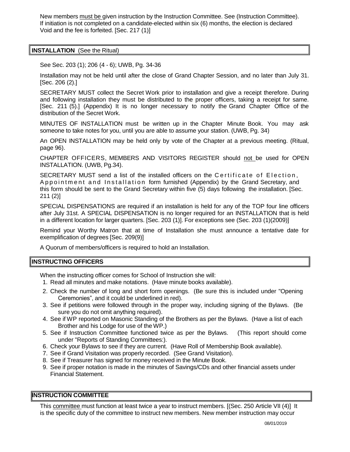New members must be given instruction by the Instruction Committee. See (Instruction Committee). If initiation is not completed on a candidate-elected within six (6) months, the election is declared Void and the fee is forfeited. [Sec. 217 (1)]

## **INSTALLATION** (See the Ritual)

See Sec. 203 (1); 206 (4 - 6); UWB, Pg. 34-36

Installation may not be held until after the close of Grand Chapter Session, and no later than July 31. [Sec. 206 (2).]

SECRETARY MUST collect the Secret Work prior to installation and give a receipt therefore. During and following installation they must be distributed to the proper officers, taking a receipt for same. [Sec. 211 (5).] (Appendix) It is no longer necessary to notify the Grand Chapter Office of the distribution of the Secret Work.

MINUTES OF INSTALLATION must be written up in the Chapter Minute Book. You may ask someone to take notes for you, until you are able to assume your station. (UWB, Pg. 34)

An OPEN INSTALLATION may be held only by vote of the Chapter at a previous meeting. (Ritual, page 96).

CHAPTER OFFICERS, MEMBERS AND VISITORS REGISTER should not be used for OPEN INSTALLATION. (UWB, Pg.34).

SECRETARY MUST send a list of the installed officers on the Certificate of Election, Appointment and Installation form furnished (Appendix) by the Grand Secretary, and this form should be sent to the Grand Secretary within five (5) days following the installation. [Sec. 211 (2)]

SPECIAL DISPENSATIONS are required if an installation is held for any of the TOP four line officers after July 31st. A SPECIAL DISPENSATION is no longer required for an INSTALLATION that is held in a different location for larger quarters. [Sec. 203 (1)]. For exceptions see (Sec. 203 (1)(2009)]

Remind your Worthy Matron that at time of Installation she must announce a tentative date for exemplification of degrees [Sec. 209(9)]

A Quorum of members/officers is required to hold an Installation.

#### **INSTRUCTING OFFICERS**

When the instructing officer comes for School of Instruction she will:

- 1. Read all minutes and make notations. (Have minute books available).
- 2. Check the number of long and short form openings. (Be sure this is included under "Opening Ceremonies", and it could be underlined in red).
- 3. See if petitions were followed through in the proper way, including signing of the Bylaws. (Be sure you do not omit anything required).
- 4. See if WP reported on Masonic Standing of the Brothers as per the Bylaws. (Have a list of each Brother and his Lodge for use of the WP.)
- 5. See if Instruction Committee functioned twice as per the Bylaws. (This report should come under "Reports of Standing Committees:).
- 6. Check your Bylaws to see if they are current. (Have Roll of Membership Book available).
- 7. See if Grand Visitation was properly recorded. (See Grand Visitation).
- 8. See if Treasurer has signed for money received in the Minute Book.
- 9. See if proper notation is made in the minutes of Savings/CDs and other financial assets under Financial Statement.

## **INSTRUCTION COMMITTEE**

This committee must function at least twice a year to instruct members. [(Sec. 250 Article VII (4)] It is the specific duty of the committee to instruct new members. New member instruction may occur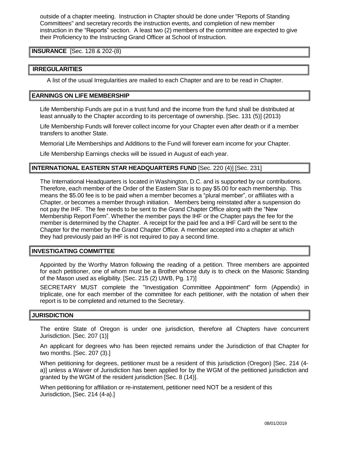outside of a chapter meeting. Instruction in Chapter should be done under "Reports of Standing Committees" and secretary records the instruction events, and completion of new member instruction in the "Reports" section. A least two (2) members of the committee are expected to give their Proficiency to the Instructing Grand Officer at School of Instruction.

## **INSURANCE** [Sec. 128 & 202-(8)

## **IRREGULARITIES**

A list of the usual Irregularities are mailed to each Chapter and are to be read in Chapter.

#### **EARNINGS ON LIFE MEMBERSHIP**

Life Membership Funds are put in a trust fund and the income from the fund shall be distributed at least annually to the Chapter according to its percentage of ownership. [Sec. 131 (5)] (2013)

Life Membership Funds will forever collect income for your Chapter even after death or if a member transfers to another State.

Memorial Life Memberships and Additions to the Fund will forever earn income for your Chapter.

Life Membership Earnings checks will be issued in August of each year.

## **INTERNATIONAL EASTERN STAR HEADQUARTERS FUND** [Sec. 220 (4)] [Sec. 231]

The International Headquarters is located in Washington, D.C. and is supported by our contributions. Therefore, each member of the Order of the Eastern Star is to pay \$5.00 for each membership. This means the \$5.00 fee is to be paid when a member becomes a "plural member", or affiliates with a Chapter, or becomes a member through initiation. Members being reinstated after a suspension do not pay the IHF. The fee needs to be sent to the Grand Chapter Office along with the "New Membership Report Form". Whether the member pays the IHF or the Chapter pays the fee for the member is determined by the Chapter. A receipt for the paid fee and a IHF Card will be sent to the Chapter for the member by the Grand Chapter Office. A member accepted into a chapter at which they had previously paid an IHF is not required to pay a second time.

#### **INVESTIGATING COMMITTEE**

Appointed by the Worthy Matron following the reading of a petition. Three members are appointed for each petitioner, one of whom must be a Brother whose duty is to check on the Masonic Standing of the Mason used as eligibility. [Sec. 215 (2) UWB, Pg. 17)]

SECRETARY MUST complete the "Investigation Committee Appointment" form (Appendix) in triplicate, one for each member of the committee for each petitioner, with the notation of when their report is to be completed and returned to the Secretary.

#### **JURISDICTION**

The entire State of Oregon is under one jurisdiction, therefore all Chapters have concurrent Jurisdiction. [Sec. 207 (1)]

An applicant for degrees who has been rejected remains under the Jurisdiction of that Chapter for two months. [Sec. 207 (3).]

When petitioning for degrees, petitioner must be a resident of this jurisdiction (Oregon) [Sec. 214 (4 a)] unless a Waiver of Jurisdiction has been applied for by the WGM of the petitioned jurisdiction and granted by the WGM of the resident jurisdiction [Sec. 8 (14)].

When petitioning for affiliation or re-instatement, petitioner need NOT be a resident of this Jurisdiction, [Sec. 214 (4-a).]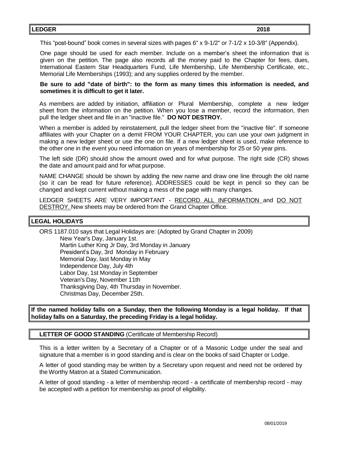This "post-bound" book comes in several sizes with pages 6" x 9-1/2" or 7-1/2 x 10-3/8" (Appendix).

One page should be used for each member. Include on a member's sheet the information that is given on the petition. The page also records all the money paid to the Chapter for fees, dues, International Eastern Star Headquarters Fund, Life Membership, Life Membership Certificate, etc., Memorial Life Memberships (1993); and any supplies ordered by the member.

#### **Be sure to add "date of birth": to the form as many times this information is needed, and sometimes it is difficult to get it later.**

As members are added by initiation, affiliation or Plural Membership, complete a new ledger sheet from the information on the petition. When you lose a member, record the information, then pull the ledger sheet and file in an "inactive file." **DO NOT DESTROY.**

When a member is added by reinstatement, pull the ledger sheet from the "inactive file". If someone affiliates with your Chapter on a demit FROM YOUR CHAPTER, you can use your own judgment in making a new ledger sheet or use the one on file. If a new ledger sheet is used, make reference to the other one in the event you need information on years of membership for 25 or 50 year pins.

The left side (DR) should show the amount owed and for what purpose. The right side (CR) shows the date and amount paid and for what purpose.

NAME CHANGE should be shown by adding the new name and draw one line through the old name (so it can be read for future reference). ADDRESSES could be kept in pencil so they can be changed and kept current without making a mess of the page with many changes.

LEDGER SHEETS ARE VERY IMPORTANT - RECORD ALL INFORMATION and DO NOT DESTROY. New sheets may be ordered from the Grand Chapter Office.

#### **LEGAL HOLIDAYS**

ORS 1187.010 says that Legal Holidays are: (Adopted by Grand Chapter in 2009) New Year's Day, January 1st. Martin Luther King Jr Day, 3rd Monday in January President's Day, 3rd Monday in February Memorial Day, last Monday in May Independence Day, July 4th Labor Day, 1st Monday in September Veteran's Day, November 11th Thanksgiving Day, 4th Thursday in November. Christmas Day, December 25th.

**If the named holiday falls on a Sunday, then the following Monday is a legal holiday. If that holiday falls on a Saturday, the preceding Friday is a legal holiday.**

**LETTER OF GOOD STANDING** (Certificate of Membership Record)

This is a letter written by a Secretary of a Chapter or of a Masonic Lodge under the seal and signature that a member is in good standing and is clear on the books of said Chapter or Lodge.

A letter of good standing may be written by a Secretary upon request and need not be ordered by the Worthy Matron at a Stated Communication.

A letter of good standing - a letter of membership record - a certificate of membership record - may be accepted with a petition for membership as proof of eligibility.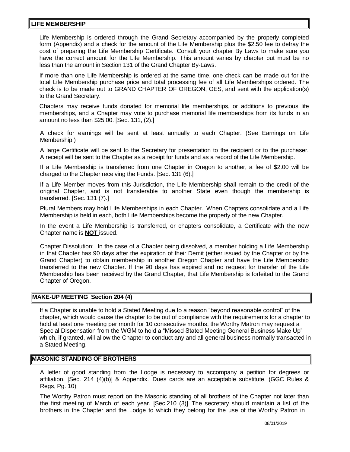#### **LIFE MEMBERSHIP**

Life Membership is ordered through the Grand Secretary accompanied by the properly completed form (Appendix) and a check for the amount of the Life Membership plus the \$2.50 fee to defray the cost of preparing the Life Membership Certificate. Consult your chapter By Laws to make sure you have the correct amount for the Life Membership. This amount varies by chapter but must be no less than the amount in Section 131 of the Grand Chapter By-Laws.

If more than one Life Membership is ordered at the same time, one check can be made out for the total Life Membership purchase price and total processing fee of all Life Memberships ordered. The check is to be made out to GRAND CHAPTER OF OREGON, OES, and sent with the application(s) to the Grand Secretary.

Chapters may receive funds donated for memorial life memberships, or additions to previous life memberships, and a Chapter may vote to purchase memorial life memberships from its funds in an amount no less than \$25.00. [Sec. 131, (2).]

A check for earnings will be sent at least annually to each Chapter. (See Earnings on Life Membership.)

A large Certificate will be sent to the Secretary for presentation to the recipient or to the purchaser. A receipt will be sent to the Chapter as a receipt for funds and as a record of the Life Membership.

If a Life Membership is transferred from one Chapter in Oregon to another, a fee of \$2.00 will be charged to the Chapter receiving the Funds. [Sec. 131 (6).]

If a Life Member moves from this Jurisdiction, the Life Membership shall remain to the credit of the original Chapter, and is not transferable to another State even though the membership is transferred. [Sec. 131 (7).]

Plural Members may hold Life Memberships in each Chapter. When Chapters consolidate and a Life Membership is held in each, both Life Memberships become the property of the new Chapter.

In the event a Life Membership is transferred, or chapters consolidate, a Certificate with the new Chapter name is **NOT** issued.

Chapter Dissolution: In the case of a Chapter being dissolved, a member holding a Life Membership in that Chapter has 90 days after the expiration of their Demit (either issued by the Chapter or by the Grand Chapter) to obtain membership in another Oregon Chapter and have the Life Membership transferred to the new Chapter. If the 90 days has expired and no request for transfer of the Life Membership has been received by the Grand Chapter, that Life Membership is forfeited to the Grand Chapter of Oregon.

#### **MAKE-UP MEETING Section 204 (4)**

If a Chapter is unable to hold a Stated Meeting due to a reason "beyond reasonable control" of the chapter, which would cause the chapter to be out of compliance with the requirements for a chapter to hold at least one meeting per month for 10 consecutive months, the Worthy Matron may request a Special Dispensation from the WGM to hold a "Missed Stated Meeting General Business Make Up" which, if granted, will allow the Chapter to conduct any and all general business normally transacted in a Stated Meeting.

## **MASONIC STANDING OF BROTHERS**

A letter of good standing from the Lodge is necessary to accompany a petition for degrees or affiliation. [Sec. 214 (4)(b)] & Appendix. Dues cards are an acceptable substitute. (GGC Rules & Regs, Pg. 10)

The Worthy Patron must report on the Masonic standing of all brothers of the Chapter not later than the first meeting of March of each year. [Sec.210 (3)] The secretary should maintain a list of the brothers in the Chapter and the Lodge to which they belong for the use of the Worthy Patron in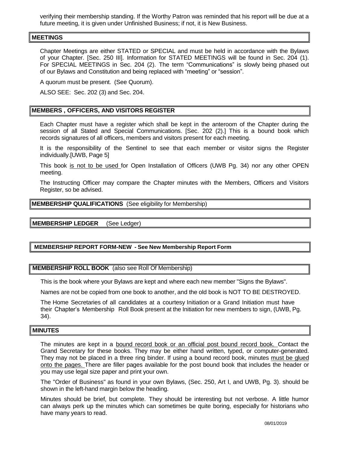verifying their membership standing. If the Worthy Patron was reminded that his report will be due at a future meeting, it is given under Unfinished Business; if not, it is New Business.

#### **MEETINGS**

Chapter Meetings are either STATED or SPECIAL and must be held in accordance with the Bylaws of your Chapter. [Sec. 250 III]. Information for STATED MEETINGS will be found in Sec. 204 (1). For SPECIAL MEETINGS in Sec. 204 (2). The term "Communications" is slowly being phased out of our Bylaws and Constitution and being replaced with "meeting" or "session".

A quorum must be present. (See Quorum).

ALSO SEE: Sec. 202 (3) and Sec. 204.

## **MEMBERS , OFFICERS, AND VISITORS REGISTER**

Each Chapter must have a register which shall be kept in the anteroom of the Chapter during the session of all Stated and Special Communications. [Sec. 202 (2).] This is a bound book which records signatures of all officers, members and visitors present for each meeting.

It is the responsibility of the Sentinel to see that each member or visitor signs the Register individually.[UWB, Page 5]

This book is not to be used for Open Installation of Officers (UWB Pg. 34) nor any other OPEN meeting.

The Instructing Officer may compare the Chapter minutes with the Members, Officers and Visitors Register, so be advised.

**MEMBERSHIP QUALIFICATIONS** (See eligibility for Membership)

#### **MEMBERSHIP LEDGER** (See Ledger)

#### **MEMBERSHIP REPORT FORM-NEW - See New Membership Report Form**

#### **MEMBERSHIP ROLL BOOK** (also see Roll Of Membership)

This is the book where your Bylaws are kept and where each new member "Signs the Bylaws".

Names are not be copied from one book to another, and the old book is NOT TO BE DESTROYED.

The Home Secretaries of all candidates at a courtesy Initiation or a Grand Initiation must have their Chapter's Membership Roll Book present at the Initiation for new members to sign, (UWB, Pg. 34).

#### **MINUTES**

The minutes are kept in a bound record book or an official post bound record book. Contact the Grand Secretary for these books. They may be either hand written, typed, or computer-generated. They may not be placed in a three ring binder. If using a bound record book, minutes must be glued onto the pages. There are filler pages available for the post bound book that includes the header or you may use legal size paper and print your own.

The "Order of Business" as found in your own Bylaws, (Sec. 250, Art I, and UWB, Pg. 3). should be shown in the left-hand margin below the heading.

Minutes should be brief, but complete. They should be interesting but not verbose. A little humor can always perk up the minutes which can sometimes be quite boring, especially for historians who have many years to read.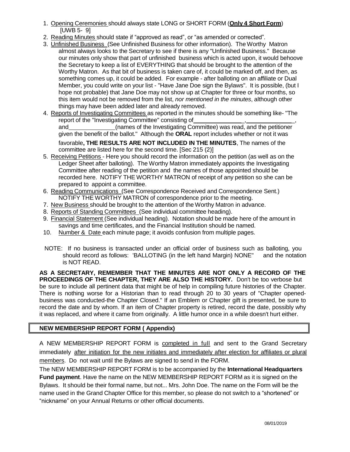- 1. Opening Ceremonies should always state LONG or SHORT FORM (**Only 4 Short Form**) [UWB 5- 9]
- 2. Reading Minutes should state if "approved as read", or "as amended or corrected".
- 3. Unfinished Business (See Unfinished Business for other information). The Worthy Matron almost always looks to the Secretary to see if there is any "Unfinished Business." Because our minutes only show that part of unfinished business which is acted upon, it would behoove the Secretary to keep a list of EVERYTHING that should be brought to the attention of the Worthy Matron. As that bit of business is taken care of, it could be marked off, and then, as something comes up, it could be added. For example - after balloting on an affiliate or Dual Member, you could write on your list - "Have Jane Doe sign the Bylaws". It is possible, (but I hope not probable) that Jane Doe may not show up at Chapter for three or four months, so this item would not be removed from the list, *nor mentioned in the minutes*, although other things may have been added later and already removed.
- 4. Reports of Investigating Committees as reported in the minutes should be something like- "The report of the "Investigating Committee" consisting of and **the Investigating Committee)** was read, and the petitioner given the benefit of the ballot." Although the **ORAL** report includes whether or not it was favorable**, THE RESULTS ARE NOT INCLUDED IN THE MINUTES**, The names of the committee are listed here for the second time. [Sec 215 (2)]
- 5. Receiving Petitions Here you should record the information on the petition (as well as on the Ledger Sheet after balloting). The Worthy Matron immediately appoints the Investigating Committee after reading of the petition and the names of those appointed should be recorded here. NOTIFY THE WORTHY MATRON of receipt of any petition so she can be prepared to appoint a committee.
- 6. Reading Communications (See Correspondence Received and Correspondence Sent.) NOTIFY THE WORTHY MATRON of correspondence prior to the meeting.
- 7. New Business should be brought to the attention of the Worthy Matron in advance.
- 8. Reports of Standing Committees (See individual committee heading).
- 9. Financial Statement (See individual heading). Notation should be made here of the amount in savings and time certificates, and the Financial Institution should be named.
- 10. Number & Date each minute page; it avoids confusion from multiple pages.
- NOTE: If no business is transacted under an official order of business such as balloting, you should record as follows: 'BALLOTING (in the left hand Margin) NONE" and the notation is NOT READ.

**AS A SECRETARY, REMEMBER THAT THE MINUTES ARE NOT ONLY A RECORD OF THE PROCEEDINGS OF THE CHAPTER, THEY ARE ALSO THE HISTORY.** Don't be too verbose but be sure to include all pertinent data that might be of help in compiling future histories of the Chapter. There is nothing worse for a Historian than to read through 20 to 30 years of "Chapter openedbusiness was conducted-the Chapter Closed." If an Emblem or Chapter gift is presented, be sure to record the date and by whom. If an item of Chapter property is retired, record the date, possibly why it was replaced, and where it came from originally. A little humor once in a while doesn't hurt either.

## **NEW MEMBERSHIP REPORT FORM ( Appendix)**

A NEW MEMBERSHIP REPORT FORM is completed in full and sent to the Grand Secretary immediately after initiation for the new initiates and immediately after election for affiliates or plural members. Do not wait until the Bylaws are signed to send in the FORM.

The NEW MEMBERSHIP REPORT FORM is to be accompanied by the **International Headquarters Fund payment**. Have the name on the NEW MEMBERSHIP REPORT FORM as it is signed on the Bylaws. It should be their formal name, but not... Mrs. John Doe. The name on the Form will be the name used in the Grand Chapter Office for this member, so please do not switch to a "shortened" or "nickname" on your Annual Returns or other official documents.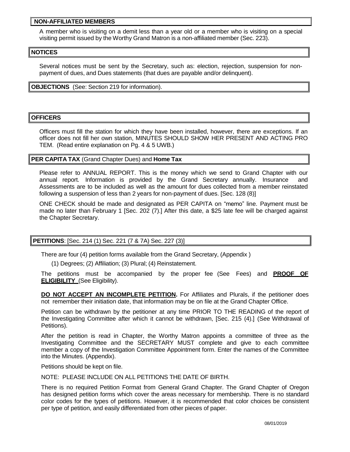#### **NON-AFFILIATED MEMBERS**

A member who is visiting on a demit less than a year old or a member who is visiting on a special visiting permit issued by the Worthy Grand Matron is a non-affiliated member (Sec. 223).

#### **NOTICES**

Several notices must be sent by the Secretary, such as: election, rejection, suspension for nonpayment of dues, and Dues statements (that dues are payable and/or delinquent).

**OBJECTIONS** (See: Section 219 for information).

#### **OFFICERS**

Officers must fill the station for which they have been installed, however, there are exceptions. If an officer does not fill her own station, MINUTES SHOULD SHOW HER PRESENT AND ACTING PRO TEM. (Read entire explanation on Pg. 4 & 5 UWB.)

#### **PER CAPITA TAX** (Grand Chapter Dues) and **Home Tax**

Please refer to ANNUAL REPORT. This is the money which we send to Grand Chapter with our annual report. Information is provided by the Grand Secretary annually. Insurance and Assessments are to be included as well as the amount for dues collected from a member reinstated following a suspension of less than 2 years for non-payment of dues. [Sec. 128 (8)]

ONE CHECK should be made and designated as PER CAPITA on "memo" line. Payment must be made no later than February 1 [Sec. 202 (7).] After this date, a \$25 late fee will be charged against the Chapter Secretary.

#### **PETITIONS**: [Sec. 214 (1) Sec. 221 (7 & 7A) Sec. 227 (3)]

There are four (4) petition forms available from the Grand Secretary, (Appendix )

(1) Degrees; (2) Affiliation; (3) Plural; (4) Reinstatement.

The petitions must be accompanied by the proper fee (See Fees) and **PROOF OF ELIGIBILITY** (See Eligibility).

**DO NOT ACCEPT AN INCOMPLETE PETITION.** For Affiliates and Plurals, if the petitioner does not remember their initiation date, that information may be on file at the Grand Chapter Office.

Petition can be withdrawn by the petitioner at any time PRIOR TO THE READING of the report of the Investigating Committee after which it cannot be withdrawn, [Sec. 215 (4).] (See Withdrawal of Petitions).

After the petition is read in Chapter, the Worthy Matron appoints a committee of three as the Investigating Committee and the SECRETARY MUST complete and give to each committee member a copy of the Investigation Committee Appointment form. Enter the names of the Committee into the Minutes. (Appendix).

Petitions should be kept on file.

NOTE: PLEASE INCLUDE ON ALL PETITIONS THE DATE OF BIRTH.

There is no required Petition Format from General Grand Chapter. The Grand Chapter of Oregon has designed petition forms which cover the areas necessary for membership. There is no standard color codes for the types of petitions. However, it is recommended that color choices be consistent per type of petition, and easily differentiated from other pieces of paper.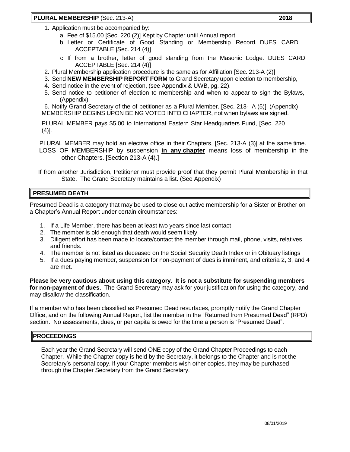## **PLURAL MEMBERSHIP** (Sec. 213-A) **2018**

- 1. Application must be accompanied by:
	- a. Fee of \$15.00 [Sec. 220 (2)] Kept by Chapter until Annual report.
	- b. Letter or Certificate of Good Standing or Membership Record. DUES CARD ACCEPTABLE [Sec. 214 (4)]
	- c. If from a brother, letter of good standing from the Masonic Lodge. DUES CARD ACCEPTABLE [Sec. 214 (4)]
- 2. Plural Membership application procedure is the same as for Affiliation [Sec. 213-A (2)]
- 3. Send **NEW MEMBERSHIP REPORT FORM** to Grand Secretary upon election to membership,
- 4. Send notice in the event of rejection, (see Appendix & UWB, pg. 22).
- 5. Send notice to petitioner of election to membership and when to appear to sign the Bylaws, (Appendix)

6. Notify Grand Secretary of the of petitioner as a Plural Member. [Sec. 213- A (5)] (Appendix) MEMBERSHIP BEGINS UPON BEING VOTED INTO CHAPTER, not when bylaws are signed.

PLURAL MEMBER pays \$5.00 to International Eastern Star Headquarters Fund, [Sec. 220  $(4)$ ].

PLURAL MEMBER may hold an elective office in their Chapters, [Sec. 213-A (3)] at the same time. LOSS OF MEMBERSHIP by suspension **in any chapter** means loss of membership in the other Chapters. [Section 213-A (4).]

If from another Jurisdiction, Petitioner must provide proof that they permit Plural Membership in that State. The Grand Secretary maintains a list. (See Appendix)

## **PRESUMED DEATH**

Presumed Dead is a category that may be used to close out active membership for a Sister or Brother on a Chapter's Annual Report under certain circumstances:

- 1. If a Life Member, there has been at least two years since last contact
- 2. The member is old enough that death would seem likely.
- 3. Diligent effort has been made to locate/contact the member through mail, phone, visits, relatives and friends.
- 4. The member is not listed as deceased on the Social Security Death Index or in Obituary listings
- 5. If a dues paying member, suspension for non-payment of dues is imminent, and criteria 2, 3, and 4 are met.

**Please be very cautious about using this category. It is not a substitute for suspending members for non-payment of dues.** The Grand Secretary may ask for your justification for using the category, and may disallow the classification.

If a member who has been classified as Presumed Dead resurfaces, promptly notify the Grand Chapter Office, and on the following Annual Report, list the member in the "Returned from Presumed Dead" (RPD) section. No assessments, dues, or per capita is owed for the time a person is "Presumed Dead".

## **PROCEEDINGS**

Each year the Grand Secretary will send ONE copy of the Grand Chapter Proceedings to each Chapter. While the Chapter copy is held by the Secretary, it belongs to the Chapter and is not the Secretary's personal copy. If your Chapter members wish other copies, they may be purchased through the Chapter Secretary from the Grand Secretary.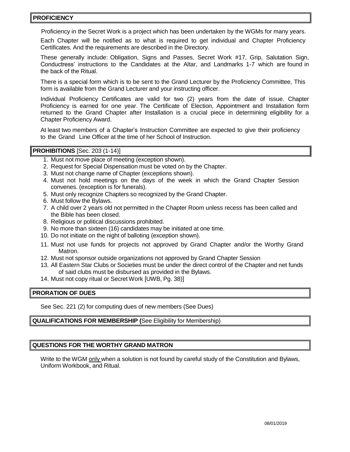## **PROFICIENCY**

Proficiency in the Secret Work is a project which has been undertaken by the WGMs for many years.

Each Chapter will be notified as to what is required to get individual and Chapter Proficiency Certificates. And the requirements are described in the Directory.

These generally include: Obligation, Signs and Passes, Secret Work #17, Grip, Salutation Sign, Conductress' instructions to the Candidates at the Altar, and Landmarks 1-7 which are found in the back of the Ritual.

There is a special form which is to be sent to the Grand Lecturer by the Proficiency Committee, This form is available from the Grand Lecturer and your instructing officer.

Individual Proficiency Certificates are valid for two (2) years from the date of issue. Chapter Proficiency is earned for one year. The Certificate of Election, Appointment and Installation form returned to the Grand Chapter after Installation is a crucial piece in determining eligibility for a Chapter Proficiency Award.

At least two members of a Chapter's Instruction Committee are expected to give their proficiency to the Grand Line Officer at the time of her School of Instruction.

#### **PROHIBITIONS** [Sec. 203 (1-14)]

- 1. Must not move place of meeting (exception shown).
- 2. Request for Special Dispensation must be voted on by the Chapter.
- 3. Must not change name of Chapter (exceptions shown).
- 4. Must not hold meetings on the days of the week in which the Grand Chapter Session convenes. (exception is for funerals).
- 5. Must only recognize Chapters so recognized by the Grand Chapter.
- 6. Must follow the Bylaws.
- 7. A child over 2 years old not permitted in the Chapter Room unless recess has been called and the Bible has been closed.
- 8. Religious or political discussions prohibited.
- 9. No more than sixteen (16) candidates may be initiated at one time.
- 10. Do not initiate on the night of balloting (exception shown).
- 11. Must not use funds for projects not approved by Grand Chapter and/or the Worthy Grand Matron.
- 12. Must not sponsor outside organizations not approved by Grand Chapter Session
- 13. All Eastern Star Clubs or Societies must be under the direct control of the Chapter and net funds of said clubs must be disbursed as provided in the Bylaws.
- 14. Must not copy ritual or Secret Work [UWB, Pg. 38)]

#### **PRORATION OF DUES**

See Sec. 221 (2) for computing dues of new members (See Dues)

#### **QUALIFICATIONS FOR MEMBERSHIP (**See Eligibility for Membership)

#### **QUESTIONS FOR THE WORTHY GRAND MATRON**

Write to the WGM only when a solution is not found by careful study of the Constitution and Bylaws, Uniform Workbook, and Ritual.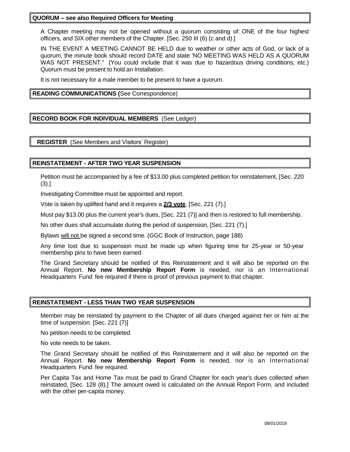#### **QUORUM – see also Required Officers for Meeting**

A Chapter meeting may not be opened without a quorum consisting of: ONE of the four highest officers, and SIX other members of the Chapter. [Sec. 250 III (6) (c and d).]

IN THE EVENT A MEETING CANNOT BE HELD due to weather or other acts of God, or lack of a quorum, the minute book should record DATE and state 'NO MEETING WAS HELD AS A QUORUM WAS NOT PRESENT." (You could include that it was due to hazardous driving conditions, etc.) Quorum must be present to hold an Installation.

It is not necessary for a male member to be present to have a quorum.

## **READING COMMUNICATIONS (**See Correspondence)

## **RECORD BOOK FOR INDIVIDUAL MEMBERS** (See Ledger)

**REGISTER** (See Members and Visitors' Register)

#### **REINSTATEMENT - AFTER TWO YEAR SUSPENSION**

Petition must be accompanied by a fee of \$13.00 plus completed petition for reinstatement, [Sec. 220 (3).]

Investigating Committee must be appointed and report.

Vote is taken by uplifted hand and it requires a **2/3 vote**, [Sec. 221 (7).]

Must pay \$13.00 plus the current year's dues, [Sec. 221 (7)] and then is restored to full membership.

No other dues shall accumulate during the period of suspension, [Sec. 221 (7).]

Bylaws will not be signed a second time. (GGC Book of Instruction, page 188)

Any time lost due to suspension must be made up when figuring time for 25-year or 50-year membership pins to have been earned.

The Grand Secretary should be notified of this Reinstatement and it will also be reported on the Annual Report. **No new Membership Report Form** is needed, nor is an International Headquarters Fund fee required if there is proof of previous payment to that chapter.

#### **REINSTATEMENT - LESS THAN TWO YEAR SUSPENSION**

Member may be reinstated by payment to the Chapter of all dues charged against her or him at the time of suspension. [Sec. 221 (7)]

No petition needs to be completed.

No vote needs to be taken.

The Grand Secretary should be notified of this Reinstatement and it will also be reported on the Annual Report. **No new Membership Report Form** is needed, nor is an International Headquarters Fund fee required.

Per Capita Tax and Home Tax must be paid to Grand Chapter for each year's dues collected when reinstated, [Sec. 128 (8).] The amount owed is calculated on the Annual Report Form, and included with the other per-capita money.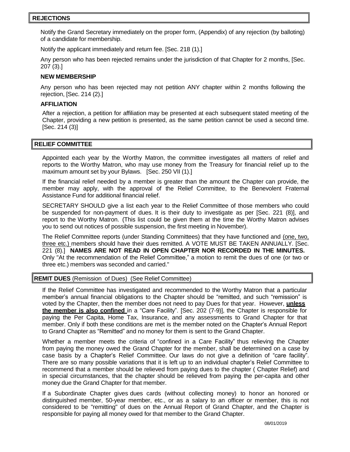## **REJECTIONS**

Notify the Grand Secretary immediately on the proper form, (Appendix) of any rejection (by balloting) of a candidate for membership.

Notify the applicant immediately and return fee. [Sec. 218 (1).]

Any person who has been rejected remains under the jurisdiction of that Chapter for 2 months, [Sec. 207 (3).]

#### **NEW MEMBERSHIP**

Any person who has been rejected may not petition ANY chapter within 2 months following the rejection, [Sec. 214 (2).]

#### **AFFILIATION**

After a rejection, a petition for affiliation may be presented at each subsequent stated meeting of the Chapter, providing a new petition is presented, as the same petition cannot be used a second time. [Sec. 214 (3)]

## **RELIEF COMMITTEE**

Appointed each year by the Worthy Matron, the committee investigates all matters of relief and reports to the Worthy Matron, who may use money from the Treasury for financial relief up to the maximum amount set by your Bylaws. [Sec. 250 VII (1).]

If the financial relief needed by a member is greater than the amount the Chapter can provide, the member may apply, with the approval of the Relief Committee, to the Benevolent Fraternal Assistance Fund for additional financial relief.

SECRETARY SHOULD give a list each year to the Relief Committee of those members who could be suspended for non-payment of dues. It is their duty to investigate as per [Sec. 221 (8)], and report to the Worthy Matron. (This list could be given them at the time the Worthy Matron advises you to send out notices of possible suspension, the first meeting in November).

The Relief Committee reports (under Standing Committees) that they have functioned and (one, two, three etc.) members should have their dues remitted. A VOTE MUST BE TAKEN ANNUALLY. [Sec. 221 (8).] **NAMES ARE NOT READ IN OPEN CHAPTER NOR RECORDED IN THE MINUTES.** Only "At the recommendation of the Relief Committee," a motion to remit the dues of one (or two or three etc.) members was seconded and carried."

#### **REMIT DUES** (Remission of Dues) (See Relief Committee)

If the Relief Committee has investigated and recommended to the Worthy Matron that a particular member's annual financial obligations to the Chapter should be "remitted, and such "remission" is voted by the Chapter, then the member does not need to pay Dues for that year. However, **unless the member is also confined** in a "Care Facility". [Sec. 202 (7-9)], the Chapter is responsible for paying the Per Capita, Home Tax, Insurance, and any assessments to Grand Chapter for that member. Only if both these conditions are met is the member noted on the Chapter's Annual Report to Grand Chapter as "Remitted" and no money for them is sent to the Grand Chapter.

Whether a member meets the criteria of "confined in a Care Facility" thus relieving the Chapter from paying the money owed the Grand Chapter for the member, shall be determined on a case by case basis by a Chapter's Relief Committee. Our laws do not give a definition of "care facility". There are so many possible variations that it is left up to an individual chapter's Relief Committee to recommend that a member should be relieved from paying dues to the chapter ( Chapter Relief) and in special circumstances, that the chapter should be relieved from paying the per-capita and other money due the Grand Chapter for that member.

If a Subordinate Chapter gives dues cards (without collecting money) to honor an honored or distinguished member, 50-year member, etc., or as a salary to an officer or member, this is not considered to be "remitting" of dues on the Annual Report of Grand Chapter, and the Chapter is responsible for paying all money owed for that member to the Grand Chapter.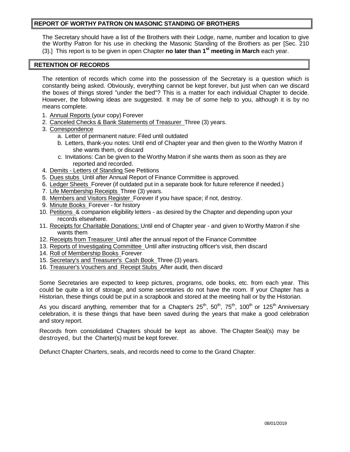## **REPORT OF WORTHY PATRON ON MASONIC STANDING OF BROTHERS**

The Secretary should have a list of the Brothers with their Lodge, name, number and location to give the Worthy Patron for his use in checking the Masonic Standing of the Brothers as per [Sec. 210 (3).] This report is to be given in open Chapter **no later than 1 st meeting in March** each year.

#### **RETENTION OF RECORDS**

The retention of records which come into the possession of the Secretary is a question which is constantly being asked. Obviously, everything cannot be kept forever, but just when can we discard the boxes of things stored "under the bed"? This is a matter for each individual Chapter to decide. However, the following ideas are suggested. It may be of some help to you, although it is by no means complete.

- 1. Annual Reports (your copy) Forever
- 2. Canceled Checks & Bank Statements of Treasurer Three (3) years.
- 3. Correspondence
	- a. Letter of permanent nature: Filed until outdated
	- b. Letters, thank-you notes: Until end of Chapter year and then given to the Worthy Matron if she wants them, or discard
	- c. Invitations: Can be given to the Worthy Matron if she wants them as soon as they are reported and recorded.
- 4. Demits Letters of Standing See Petitions
- 5. Dues stubs Until after Annual Report of Finance Committee is approved.
- 6. Ledger Sheets Forever (if outdated put in a separate book for future reference if needed.)
- 7. Life Membership Receipts Three (3) years.
- 8. Members and Visitors Register Forever if you have space; if not, destroy.
- 9. Minute Books Forever for history
- 10. Petitions & companion eligibility letters as desired by the Chapter and depending upon your records elsewhere.
- 11. Receipts for Charitable Donations: Until end of Chapter year and given to Worthy Matron if she wants them
- 12. Receipts from Treasurer Until after the annual report of the Finance Committee
- 13. Reports of Investigating Committee Until after instructing officer's visit, then discard
- 14. Roll of Membership Books\_Forever
- 15. Secretary's and Treasurer's Cash Book Three (3) years.
- 16. Treasurer's Vouchers and Receipt Stubs After audit, then discard

Some Secretaries are expected to keep pictures, programs, ode books, etc. from each year. This could be quite a lot of storage, and some secretaries do not have the room. If your Chapter has a Historian, these things could be put in a scrapbook and stored at the meeting hall or by the Historian.

As you discard anything, remember that for a Chapter's 25<sup>th</sup>, 50<sup>th</sup>, 75<sup>th</sup>, 100<sup>th</sup> or 125<sup>th</sup> Anniversary celebration, it is these things that have been saved during the years that make a good celebration and story report.

Records from consolidated Chapters should be kept as above. The Chapter Seal(s) may be destroyed, but the Charter(s) must be kept forever.

Defunct Chapter Charters, seals, and records need to come to the Grand Chapter.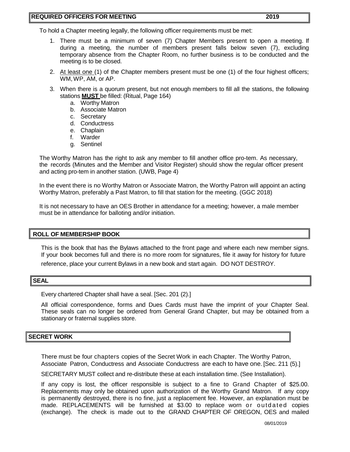To hold a Chapter meeting legally, the following officer requirements must be met:

- 1. There must be a minimum of seven (7) Chapter Members present to open a meeting. If during a meeting, the number of members present falls below seven (7), excluding temporary absence from the Chapter Room, no further business is to be conducted and the meeting is to be closed.
- 2. At least one (1) of the Chapter members present must be one (1) of the four highest officers; WM,WP, AM, or AP.
- 3. When there is a quorum present, but not enough members to fill all the stations, the following stations **MUST** be filled: (Ritual, Page 164)
	- a. Worthy Matron
	- b. Associate Matron
	- c. Secretary
	- d. Conductress
	- e. Chaplain
	- f. Warder
	- g. Sentinel

The Worthy Matron has the right to ask any member to fill another office pro-tem. As necessary, the records (Minutes and the Member and Visitor Register) should show the regular officer present and acting pro-tem in another station. (UWB, Page 4)

In the event there is no Worthy Matron or Associate Matron, the Worthy Patron will appoint an acting Worthy Matron, preferably a Past Matron, to fill that station for the meeting. (GGC 2018)

It is not necessary to have an OES Brother in attendance for a meeting; however, a male member must be in attendance for balloting and/or initiation.

## **ROLL OF MEMBERSHIP BOOK**

This is the book that has the Bylaws attached to the front page and where each new member signs. If your book becomes full and there is no more room for signatures, file it away for history for future

reference, place your current Bylaws in a new book and start again. DO NOT DESTROY.

## **SEAL**

Every chartered Chapter shall have a seal. [Sec. 201 (2).]

All official correspondence, forms and Dues Cards must have the imprint of your Chapter Seal. These seals can no longer be ordered from General Grand Chapter, but may be obtained from a stationary or fraternal supplies store.

## **SECRET WORK**

There must be four chapters copies of the Secret Work in each Chapter. The Worthy Patron, Associate Patron, Conductress and Associate Conductress are each to have one. [Sec. 211 (5).]

SECRETARY MUST collect and re-distribute these at each installation time. (See Installation).

If any copy is lost, the officer responsible is subject to a fine to Grand Chapter of \$25.00. Replacements may only be obtained upon authorization of the Worthy Grand Matron. If any copy is permanently destroyed, there is no fine, just a replacement fee. However, an explanation must be made. REPLACEMENTS will be furnished at \$3.00 to replace worn or outdated copies (exchange). The check is made out to the GRAND CHAPTER OF OREGON, OES and mailed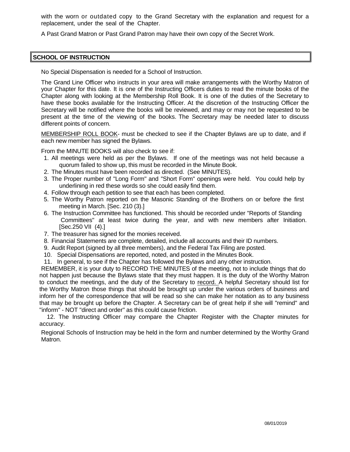with the worn or outdated copy to the Grand Secretary with the explanation and request for a replacement, under the seal of the Chapter.

A Past Grand Matron or Past Grand Patron may have their own copy of the Secret Work.

#### **SCHOOL OF INSTRUCTION**

No Special Dispensation is needed for a School of Instruction.

The Grand Line Officer who instructs in your area will make arrangements with the Worthy Matron of your Chapter for this date. It is one of the Instructing Officers duties to read the minute books of the Chapter along with looking at the Membership Roll Book. It is one of the duties of the Secretary to have these books available for the Instructing Officer. At the discretion of the Instructing Officer the Secretary will be notified where the books will be reviewed, and may or may not be requested to be present at the time of the viewing of the books. The Secretary may be needed later to discuss different points of concern.

MEMBERSHIP ROLL BOOK- must be checked to see if the Chapter Bylaws are up to date, and if each new member has signed the Bylaws.

From the MINUTE BOOKS will also check to see if:

- 1. All meetings were held as per the Bylaws. If one of the meetings was not held because a quorum failed to show up, this must be recorded in the Minute Book.
- 2. The Minutes must have been recorded as directed. (See MINUTES).
- 3. The Proper number of "Long Form" and "Short Form" openings were held. You could help by underlining in red these words so she could easily find them.
- 4. Follow through each petition to see that each has been completed.
- 5. The Worthy Patron reported on the Masonic Standing of the Brothers on or before the first meeting in March. [Sec. 210 (3).]
- 6. The Instruction Committee has functioned. This should be recorded under "Reports of Standing Committees" at least twice during the year, and with new members after Initiation. [Sec.250 VII (4).]
- 7. The treasurer has signed for the monies received.
- 8. Financial Statements are complete, detailed, include all accounts and their ID numbers.
- 9. Audit Report (signed by all three members), and the Federal Tax Filing are posted.
- 10. Special Dispensations are reported, noted, and posted in the Minutes Book.
- 11. In general, to see if the Chapter has followed the Bylaws and any other instruction.

REMEMBER, it is your duty to RECORD THE MINUTES of the meeting, not to include things that do not happen just because the Bylaws state that they must happen. It is the duty of the Worthy Matron to conduct the meetings, and the duty of the Secretary to record. A helpful Secretary should list for the Worthy Matron those things that should be brought up under the various orders of business and inform her of the correspondence that will be read so she can make her notation as to any business that may be brought up before the Chapter. A Secretary can be of great help if she will "remind" and "inform" - NOT "direct and order" as this could cause friction.

12. The Instructing Officer may compare the Chapter Register with the Chapter minutes for accuracy.

Regional Schools of Instruction may be held in the form and number determined by the Worthy Grand Matron.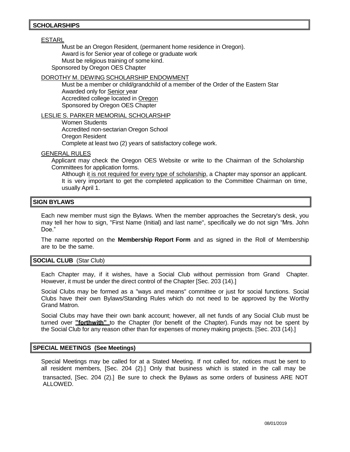## **SCHOLARSHIPS**

#### ESTARL

Must be an Oregon Resident, (permanent home residence in Oregon). Award is for Senior year of college or graduate work Must be religious training of some kind. Sponsored by Oregon OES Chapter

#### DOROTHY M. DEWING SCHOLARSHIP ENDOWMENT

Must be a member or child/grandchild of a member of the Order of the Eastern Star Awarded only for Senior year Accredited college located in Oregon Sponsored by Oregon OES Chapter

LESLIE S. PARKER MEMORIAL SCHOLARSHIP

Women Students Accredited non-sectarian Oregon School Oregon Resident Complete at least two (2) years of satisfactory college work.

#### GENERAL RULES

Applicant may check the Oregon OES Website or write to the Chairman of the Scholarship Committees for application forms.

Although it is not required for every type of scholarship, a Chapter may sponsor an applicant. It is very important to get the completed application to the Committee Chairman on time, usually April 1.

#### **SIGN BYLAWS**

Each new member must sign the Bylaws. When the member approaches the Secretary's desk, you may tell her how to sign, "First Name (Initial) and last name", specifically we do not sign "Mrs. John Doe."

The name reported on the **Membership Report Form** and as signed in the Roll of Membership are to be the same.

#### **SOCIAL CLUB** (Star Club)

Each Chapter may, if it wishes, have a Social Club without permission from Grand Chapter. However, it must be under the direct control of the Chapter [Sec. 203 (14).]

Social Clubs may be formed as a "ways and means" committee or just for social functions. Social Clubs have their own Bylaws/Standing Rules which do not need to be approved by the Worthy Grand Matron.

Social Clubs may have their own bank account; however, all net funds of any Social Club must be turned over **"forthwith"** to the Chapter (for benefit of the Chapter). Funds may not be spent by the Social Club for any reason other than for expenses of money making projects. [Sec. 203 (14).]

#### **SPECIAL MEETINGS (See Meetings)**

Special Meetings may be called for at a Stated Meeting. If not called for, notices must be sent to all resident members, [Sec. 204 (2).] Only that business which is stated in the call may be transacted, [Sec. 204 (2).] Be sure to check the Bylaws as some orders of business ARE NOT ALLOWED.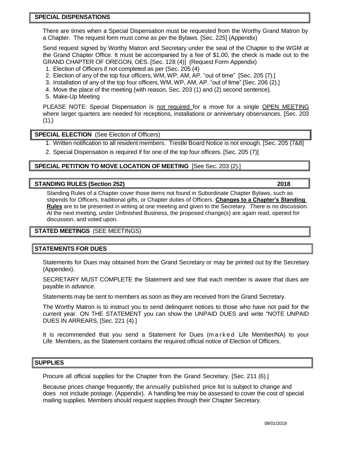## **SPECIAL DISPENSATIONS**

There are times when a Special Dispensation must be requested from the Worthy Grand Matron by a Chapter. The request form must come as per the Bylaws. [Sec. 225] (Appendix)

Send request signed by Worthy Matron and Secretary under the seal of the Chapter to the WGM at the Grand Chapter Office. It must be accompanied by a fee of \$1.00, the check is made out to the GRAND CHAPTER OF OREGON, OES. [Sec. 128 (4)] (Request Form Appendix)

- 1. Election of Officers if not completed as per (Sec. 205 (4)
- 2. Election of any of the top four officers, WM, WP, AM, AP. "out of time" [Sec. 205 (7).]
- 3. Installation of any of the top four officers, WM, WP, AM, AP. "out of time" [Sec. 206 (2).]
- 4. Move the place of the meeting (with reason, Sec. 203 (1) and (2) second sentence).
- 5. Make-Up Meeting

PLEASE NOTE: Special Dispensation is not required for a move for a single OPEN MEETING where larger quarters are needed for receptions, installations or anniversary observances. [Sec. 203  $(1),$ 

#### **SPECIAL ELECTION** (See Election of Officers)

- 1. Written notification to all resident members. Trestle Board Notice is not enough. [Sec. 205 (7&8]
- 2. Special Dispensation is required if for one of the top four officers. [Sec. 205 (7)]

## **SPECIAL PETITION TO MOVE LOCATION OF MEETING** [See Sec. 203 (2).]

#### **STANDING RULES (Section 252) 2018**

Standing Rules of a Chapter cover those items not found in Subordinate Chapter Bylaws, such as stipends for Officers, traditional gifts, or Chapter duties of Officers. **Changes to a Chapter's Standing Rules** are to be presented in writing at one meeting and given to the Secretary. There is no discussion. At the next meeting, under Unfinished Business, the proposed change(s) are again read, opened for discussion, and voted upon.

## **STATED MEETINGS** (SEE MEETINGS)

## **STATEMENTS FOR DUES**

Statements for Dues may obtained from the Grand Secretary or may be printed out by the Secretary (Appendex).

SECRETARY MUST COMPLETE the Statement and see that each member is aware that dues are payable in advance.

Statements may be sent to members as soon as they are received from the Grand Secretary.

The Worthy Matron is to instruct you to send delinquent notices to those who have not paid for the current year. ON THE STATEMENT you can show the UNPAID DUES and write "NOTE UNPAID DUES IN ARREARS, [Sec. 221 (4).]

It is recommended that you send a Statement for Dues (marked Life Member/NA) to your Life Members, as the Statement contains the required official notice of Election of Officers.

#### **SUPPLIES**

Procure all official supplies for the Chapter from the Grand Secretary. [Sec. 211 (6).]

Because prices change frequently, the annually published price list is subject to change and does not include postage. (Appendix). A handling fee may be assessed to cover the cost of special mailing supplies. Members should request supplies through their Chapter Secretary.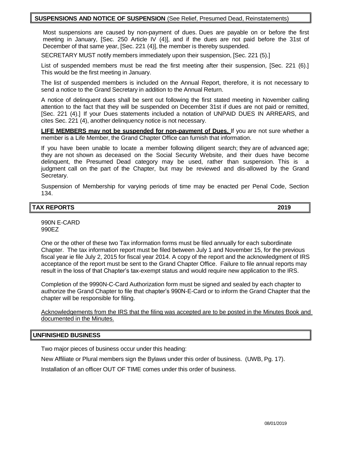## **SUSPENSIONS AND NOTICE OF SUSPENSION** (See Relief, Presumed Dead, Reinstatements)

Most suspensions are caused by non-payment of dues. Dues are payable on or before the first meeting in January, [Sec. 250 Article IV (4)], and if the dues are not paid before the 31st of December of that same year, [Sec. 221 (4)], the member is thereby suspended.

SECRETARY MUST notify members immediately upon their suspension, [Sec. 221 (5).]

List of suspended members must be read the first meeting after their suspension, [Sec. 221 (6).] This would be the first meeting in January.

The list of suspended members is included on the Annual Report, therefore, it is not necessary to send a notice to the Grand Secretary in addition to the Annual Return.

A notice of delinquent dues shall be sent out following the first stated meeting in November calling attention to the fact that they will be suspended on December 31st if dues are not paid or remitted, [Sec. 221 (4).] If your Dues statements included a notation of UNPAID DUES IN ARREARS, and cites Sec. 221 (4), another delinquency notice is not necessary.

**LIFE MEMBERS may not be suspended for non-payment of Dues.** If you are not sure whether a member is a Life Member, the Grand Chapter Office can furnish that information.

If you have been unable to locate a member following diligent search; they are of advanced age; they are not shown as deceased on the Social Security Website, and their dues have become delinquent, the Presumed Dead category may be used, rather than suspension. This is a judgment call on the part of the Chapter, but may be reviewed and dis-allowed by the Grand Secretary.

Suspension of Membership for varying periods of time may be enacted per Penal Code, Section 134.

## **TAX REPORTS 2019**

990N E-CARD 990EZ

One or the other of these two Tax information forms must be filed annually for each subordinate Chapter. The tax information report must be filed between July 1 and November 15, for the previous fiscal year ie file July 2, 2015 for fiscal year 2014. A copy of the report and the acknowledgment of IRS acceptance of the report must be sent to the Grand Chapter Office. Failure to file annual reports may result in the loss of that Chapter's tax-exempt status and would require new application to the IRS.

Completion of the 9990N-C-Card Authorization form must be signed and sealed by each chapter to authorize the Grand Chapter to file that chapter's 990N-E-Card or to inform the Grand Chapter that the chapter will be responsible for filing.

Acknowledgements from the IRS that the filing was accepted are to be posted in the Minutes Book and documented in the Minutes.

#### **UNFINISHED BUSINESS**

Two major pieces of business occur under this heading:

New Affiliate or Plural members sign the Bylaws under this order of business. (UWB, Pg. 17).

Installation of an officer OUT OF TIME comes under this order of business.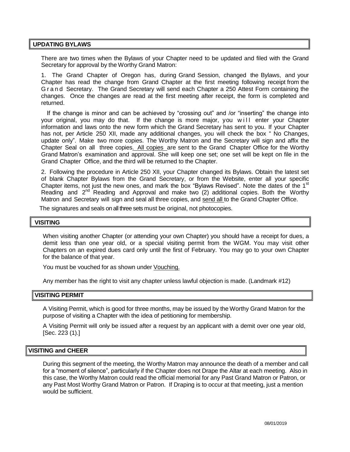#### **UPDATING BYLAWS**

There are two times when the Bylaws of your Chapter need to be updated and filed with the Grand Secretary for approval by the Worthy Grand Matron:

1. The Grand Chapter of Oregon has, during Grand Session, changed the Bylaws, and your Chapter has read the change from Grand Chapter at the first meeting following receipt from the G r a n d Secretary. The Grand Secretary will send each Chapter a 250 Attest Form containing the changes. Once the changes are read at the first meeting after receipt, the form is completed and returned.

If the change is minor and can be achieved by "crossing out" and /or "inserting" the change into your original, you may do that. If the change is more major, you will enter your Chapter information and laws onto the new form which the Grand Secretary has sent to you. If your Chapter has not, per Article 250 XII, made any additional changes, you will check the box " No Changes, update only". Make two more copies. The Worthy Matron and the Secretary will sign and affix the Chapter Seal on all three copies. All copies are sent to the Grand Chapter Office for the Worthy Grand Matron's examination and approval. She will keep one set; one set will be kept on file in the Grand Chapter Office, and the third will be returned to the Chapter.

2. Following the procedure in Article 250 XII, your Chapter changed its Bylaws. Obtain the latest set of blank Chapter Bylaws from the Grand Secretary, or from the Website, enter all your specific Chapter items, not just the new ones, and mark the box "Bylaws Revised". Note the dates of the 1<sup>st</sup> Reading and  $2^{nd}$  Reading and Approval and make two (2) additional copies. Both the Worthy Matron and Secretary will sign and seal all three copies, and send all to the Grand Chapter Office.

The signatures and seals on all three sets must be original, not photocopies.

#### **VISITING**

When visiting another Chapter (or attending your own Chapter) you should have a receipt for dues, a demit less than one year old, or a special visiting permit from the WGM. You may visit other Chapters on an expired dues card only until the first of February. You may go to your own Chapter for the balance of that year.

You must be vouched for as shown under Vouching.

Any member has the right to visit any chapter unless lawful objection is made. (Landmark #12)

#### **VISITING PERMIT**

A Visiting Permit, which is good for three months, may be issued by the Worthy Grand Matron for the purpose of visiting a Chapter with the idea of petitioning for membership.

A Visiting Permit will only be issued after a request by an applicant with a demit over one year old, [Sec. 223 (1).]

#### **VISITING and CHEER**

During this segment of the meeting, the Worthy Matron may announce the death of a member and call for a "moment of silence", particularly if the Chapter does not Drape the Altar at each meeting. Also in this case, the Worthy Matron could read the official memorial for any Past Grand Matron or Patron, or any Past Most Worthy Grand Matron or Patron. If Draping is to occur at that meeting, just a mention would be sufficient.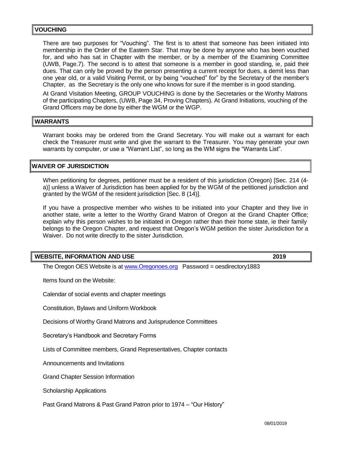## **VOUCHING**

There are two purposes for "Vouching". The first is to attest that someone has been initiated into membership in the Order of the Eastern Star. That may be done by anyone who has been vouched for, and who has sat in Chapter with the member, or by a member of the Examining Committee (UWB, Page.7). The second is to attest that someone is a member in good standing, ie, paid their dues. That can only be proved by the person presenting a current receipt for dues, a demit less than one year old, or a valid Visiting Permit, or by being "vouched" for" by the Secretary of the member's Chapter, as the Secretary is the only one who knows for sure if the member is in good standing.

At Grand Visitation Meeting, GROUP VOUCHING is done by the Secretaries or the Worthy Matrons of the participating Chapters, (UWB, Page 34, Proving Chapters). At Grand Initiations, vouching of the Grand Officers may be done by either the WGM or the WGP.

#### **WARRANTS**

Warrant books may be ordered from the Grand Secretary. You will make out a warrant for each check the Treasurer must write and give the warrant to the Treasurer. You may generate your own warrants by computer, or use a "Warrant List", so long as the WM signs the "Warrants List".

#### **WAIVER OF JURISDICTION**

When petitioning for degrees, petitioner must be a resident of this jurisdiction (Oregon) [Sec. 214 (4 a)] unless a Waiver of Jurisdiction has been applied for by the WGM of the petitioned jurisdiction and granted by the WGM of the resident jurisdiction [Sec. 8 (14)].

If you have a prospective member who wishes to be initiated into your Chapter and they live in another state, write a letter to the Worthy Grand Matron of Oregon at the Grand Chapter Office; explain why this person wishes to be initiated in Oregon rather than their home state, ie their family belongs to the Oregon Chapter, and request that Oregon's WGM petition the sister Jurisdiction for a Waiver. Do not write directly to the sister Jurisdiction.

#### **WEBSITE, INFORMATION AND USE 2019**

The Oregon OES Website is a[t www.Oregonoes.org](http://www.oregonoes.org/)  Password = oesdirectory1883

Items found on the Website:

Calendar of social events and chapter meetings

Constitution, Bylaws and Uniform Workbook

Decisions of Worthy Grand Matrons and Jurisprudence Committees

Secretary's Handbook and Secretary Forms

Lists of Committee members, Grand Representatives, Chapter contacts

Announcements and Invitations

Grand Chapter Session Information

Scholarship Applications

Past Grand Matrons & Past Grand Patron prior to 1974 – "Our History"